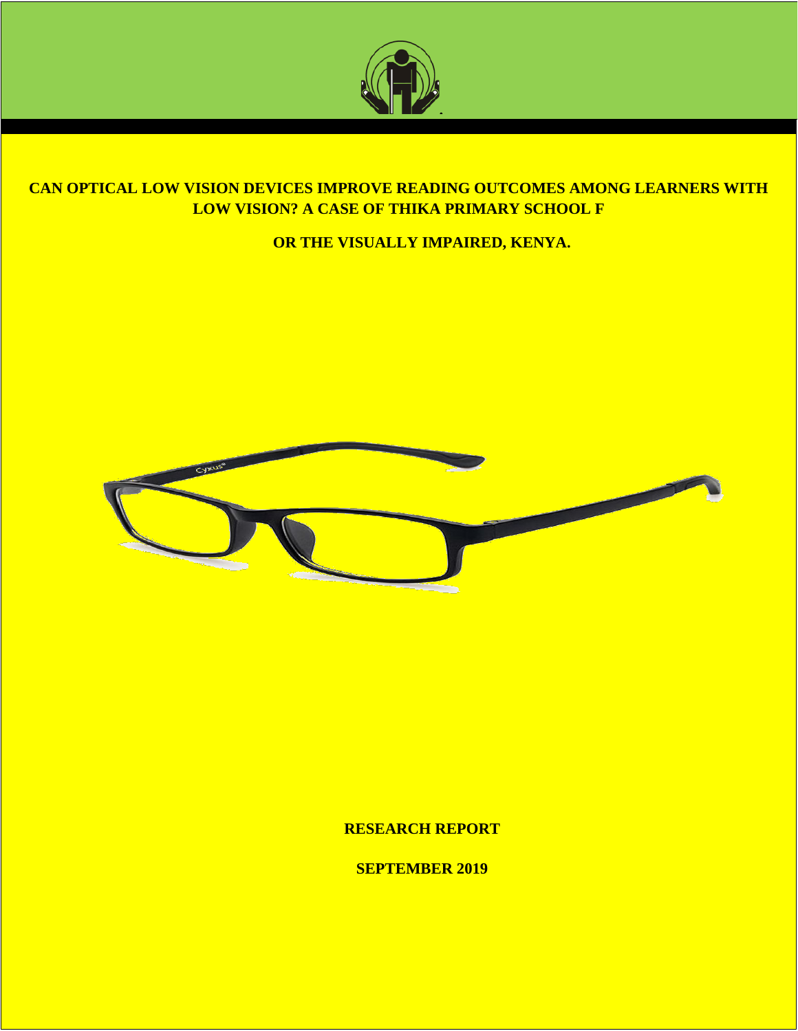

# **CAN OPTICAL LOW VISION DEVICES IMPROVE READING OUTCOMES AMONG LEARNERS WITH LOW VISION? A CASE OF THIKA PRIMARY SCHOOL F**

# **OR THE VISUALLY IMPAIRED, KENYA.**



**RESEARCH REPORT**

**SEPTEMBER 2019**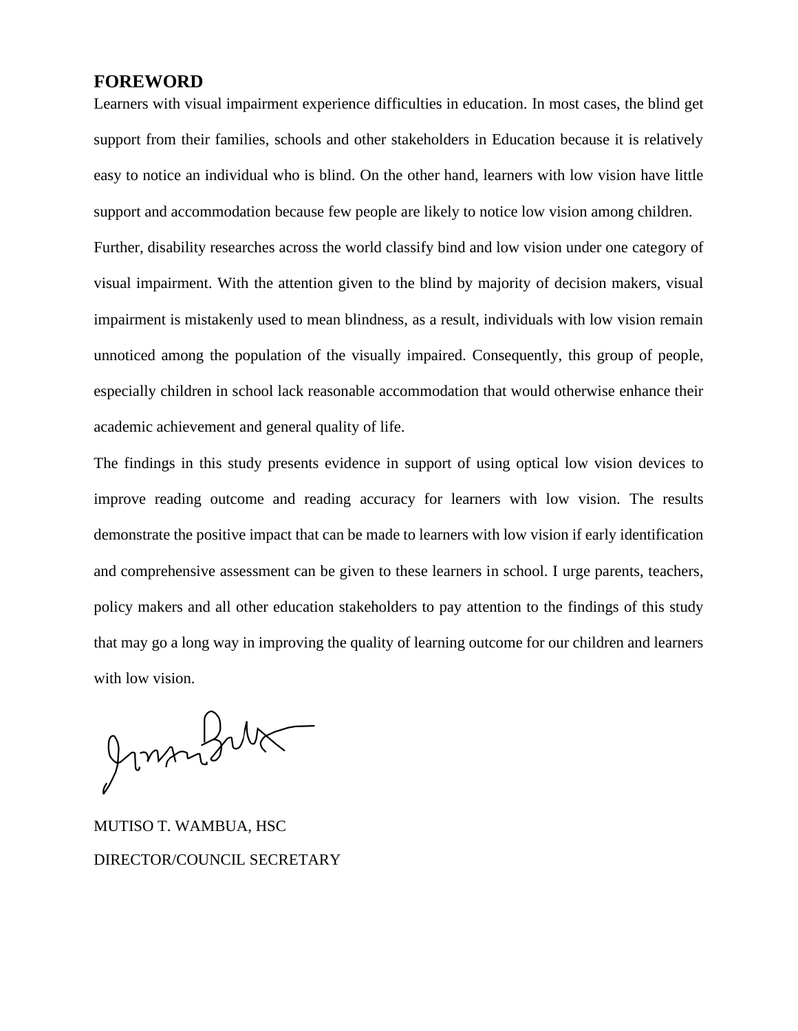# <span id="page-1-0"></span>**FOREWORD**

Learners with visual impairment experience difficulties in education. In most cases, the blind get support from their families, schools and other stakeholders in Education because it is relatively easy to notice an individual who is blind. On the other hand, learners with low vision have little support and accommodation because few people are likely to notice low vision among children. Further, disability researches across the world classify bind and low vision under one category of visual impairment. With the attention given to the blind by majority of decision makers, visual impairment is mistakenly used to mean blindness, as a result, individuals with low vision remain unnoticed among the population of the visually impaired. Consequently, this group of people, especially children in school lack reasonable accommodation that would otherwise enhance their academic achievement and general quality of life.

The findings in this study presents evidence in support of using optical low vision devices to improve reading outcome and reading accuracy for learners with low vision. The results demonstrate the positive impact that can be made to learners with low vision if early identification and comprehensive assessment can be given to these learners in school. I urge parents, teachers, policy makers and all other education stakeholders to pay attention to the findings of this study that may go a long way in improving the quality of learning outcome for our children and learners with low vision.

Jumper

MUTISO T. WAMBUA, HSC DIRECTOR/COUNCIL SECRETARY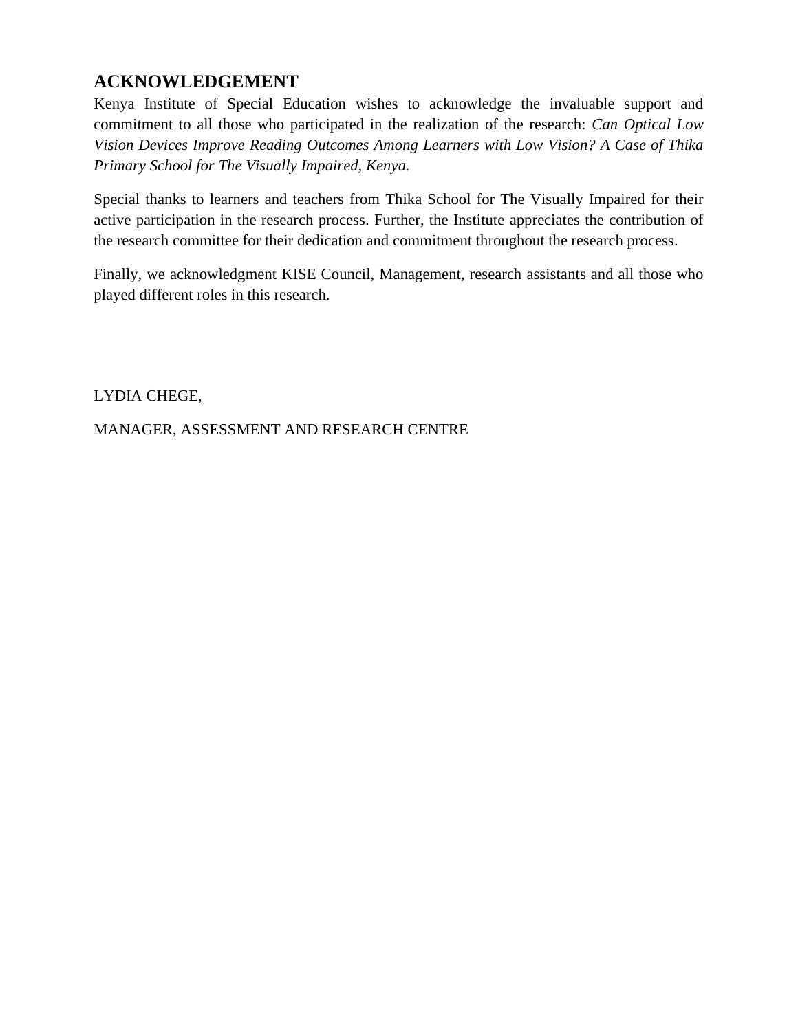# <span id="page-2-0"></span>**ACKNOWLEDGEMENT**

Kenya Institute of Special Education wishes to acknowledge the invaluable support and commitment to all those who participated in the realization of the research: *Can Optical Low Vision Devices Improve Reading Outcomes Among Learners with Low Vision? A Case of Thika Primary School for The Visually Impaired, Kenya.* 

Special thanks to learners and teachers from Thika School for The Visually Impaired for their active participation in the research process. Further, the Institute appreciates the contribution of the research committee for their dedication and commitment throughout the research process.

Finally, we acknowledgment KISE Council, Management, research assistants and all those who played different roles in this research.

LYDIA CHEGE,

MANAGER, ASSESSMENT AND RESEARCH CENTRE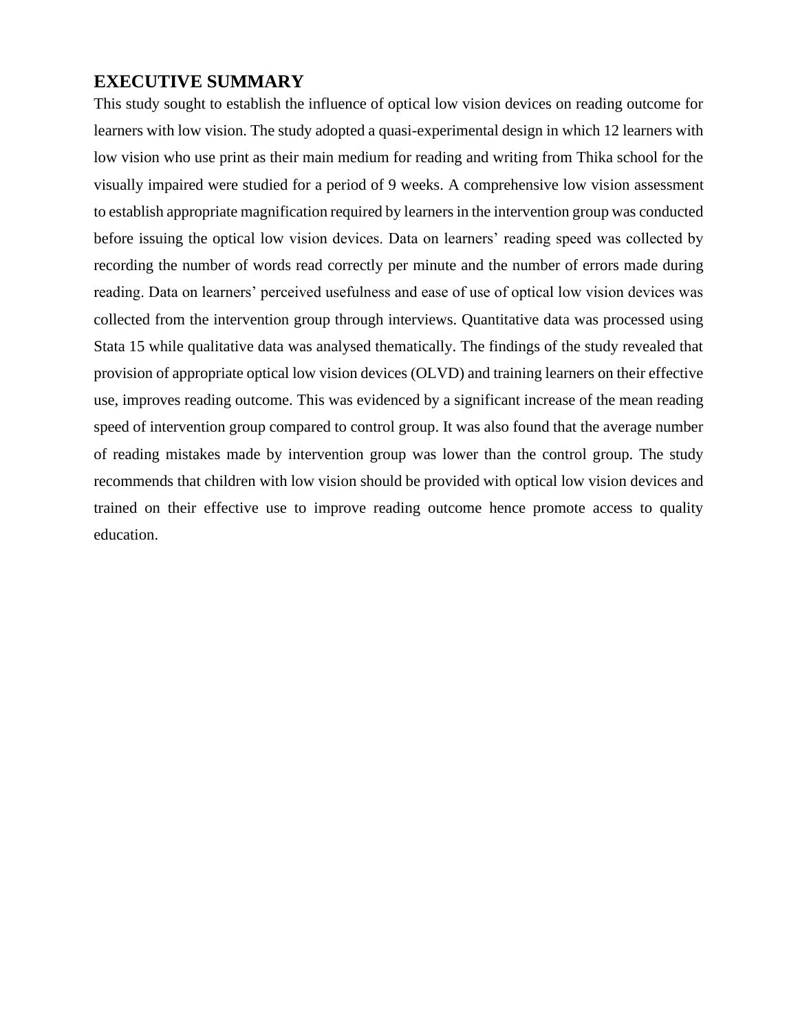# <span id="page-3-0"></span>**EXECUTIVE SUMMARY**

This study sought to establish the influence of optical low vision devices on reading outcome for learners with low vision. The study adopted a quasi-experimental design in which 12 learners with low vision who use print as their main medium for reading and writing from Thika school for the visually impaired were studied for a period of 9 weeks. A comprehensive low vision assessment to establish appropriate magnification required by learners in the intervention group was conducted before issuing the optical low vision devices. Data on learners' reading speed was collected by recording the number of words read correctly per minute and the number of errors made during reading. Data on learners' perceived usefulness and ease of use of optical low vision devices was collected from the intervention group through interviews. Quantitative data was processed using Stata 15 while qualitative data was analysed thematically. The findings of the study revealed that provision of appropriate optical low vision devices (OLVD) and training learners on their effective use, improves reading outcome. This was evidenced by a significant increase of the mean reading speed of intervention group compared to control group. It was also found that the average number of reading mistakes made by intervention group was lower than the control group. The study recommends that children with low vision should be provided with optical low vision devices and trained on their effective use to improve reading outcome hence promote access to quality education.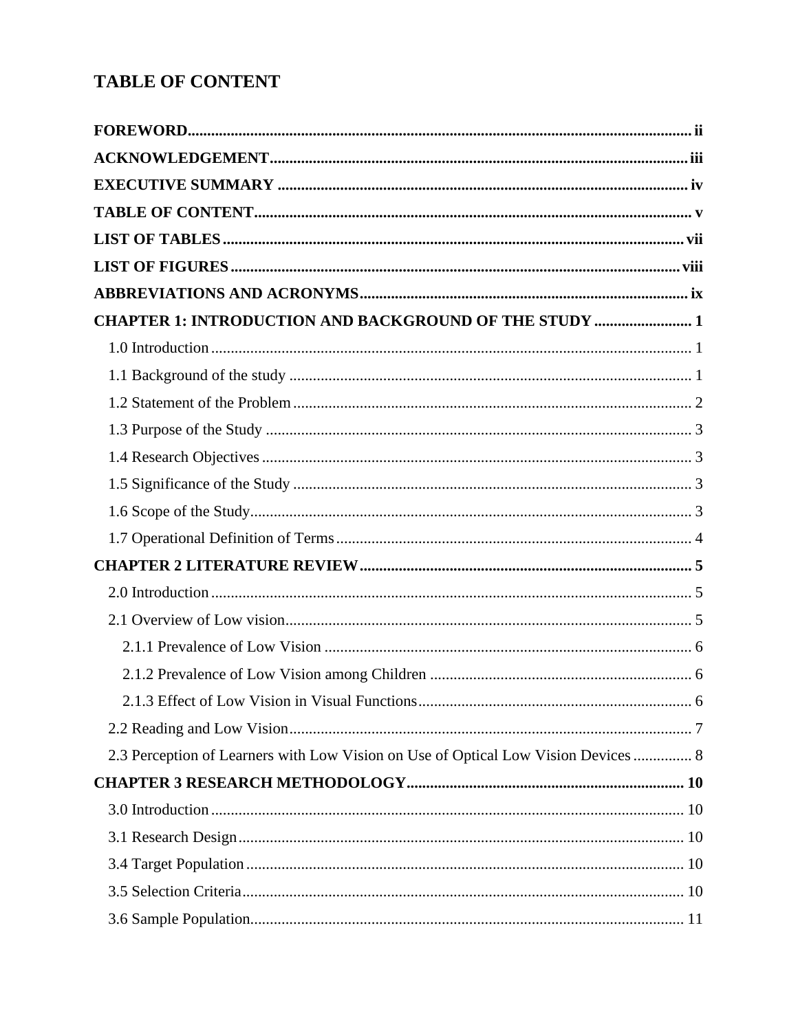# <span id="page-4-0"></span>**TABLE OF CONTENT**

| <b>CHAPTER 1: INTRODUCTION AND BACKGROUND OF THE STUDY  1</b>                      |           |
|------------------------------------------------------------------------------------|-----------|
|                                                                                    |           |
|                                                                                    |           |
|                                                                                    |           |
|                                                                                    |           |
|                                                                                    |           |
|                                                                                    |           |
|                                                                                    |           |
|                                                                                    |           |
|                                                                                    |           |
|                                                                                    |           |
|                                                                                    |           |
|                                                                                    |           |
|                                                                                    |           |
| 2.1.3 Effect of Low Vision in Visual Functions.                                    | $\dots 6$ |
|                                                                                    |           |
| 2.3 Perception of Learners with Low Vision on Use of Optical Low Vision Devices  8 |           |
|                                                                                    |           |
|                                                                                    |           |
|                                                                                    |           |
|                                                                                    |           |
|                                                                                    |           |
|                                                                                    |           |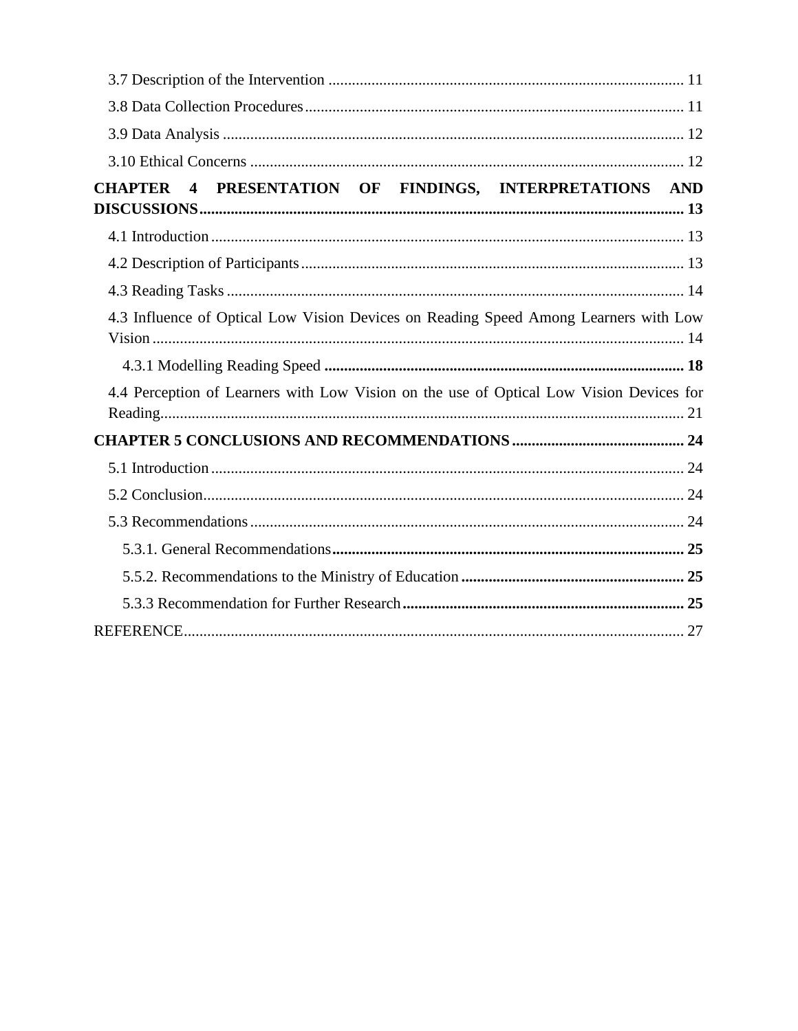| 4 PRESENTATION OF FINDINGS, INTERPRETATIONS AND<br><b>CHAPTER</b>                       |
|-----------------------------------------------------------------------------------------|
|                                                                                         |
|                                                                                         |
|                                                                                         |
| 4.3 Influence of Optical Low Vision Devices on Reading Speed Among Learners with Low    |
|                                                                                         |
|                                                                                         |
| 4.4 Perception of Learners with Low Vision on the use of Optical Low Vision Devices for |
|                                                                                         |
|                                                                                         |
|                                                                                         |
|                                                                                         |
|                                                                                         |
|                                                                                         |
|                                                                                         |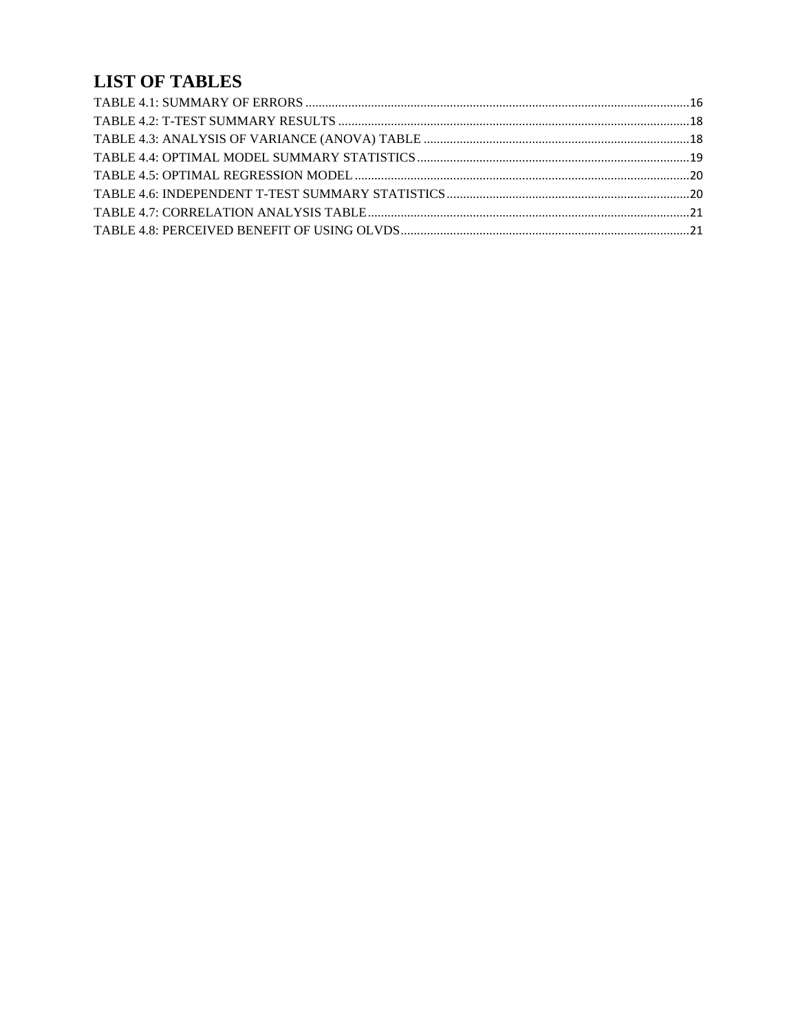# <span id="page-6-0"></span>**LIST OF TABLES**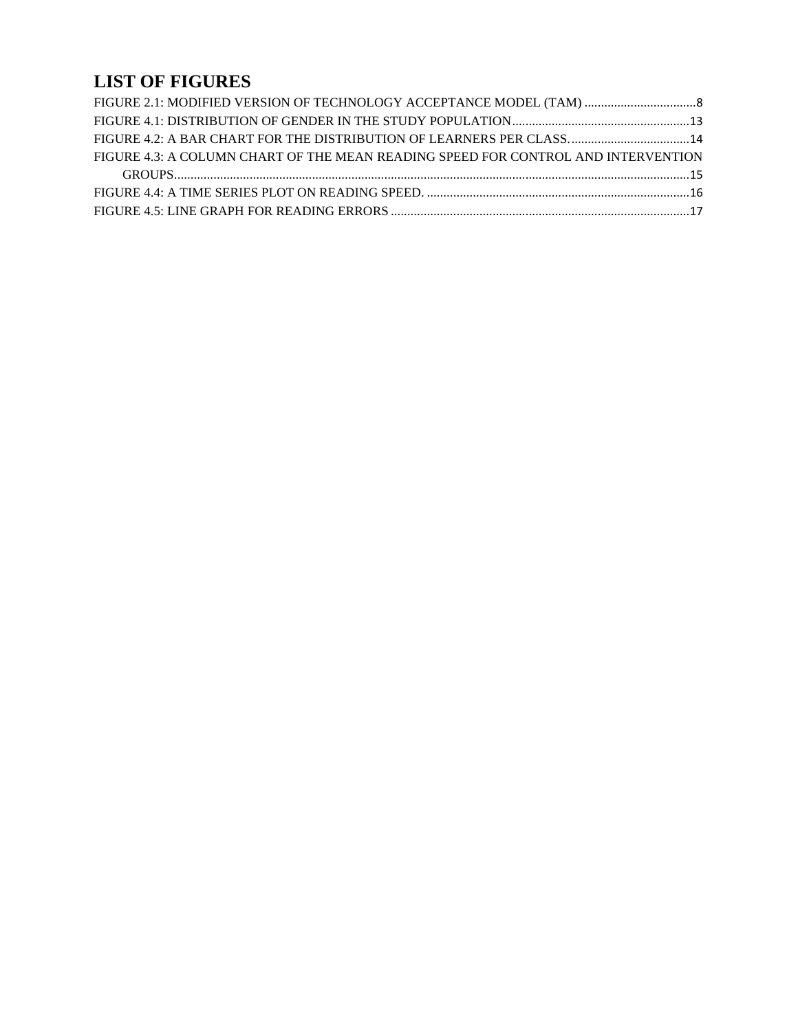# <span id="page-7-0"></span>**LIST OF FIGURES**

| FIGURE 4.3: A COLUMN CHART OF THE MEAN READING SPEED FOR CONTROL AND INTERVENTION |  |
|-----------------------------------------------------------------------------------|--|
|                                                                                   |  |
|                                                                                   |  |
|                                                                                   |  |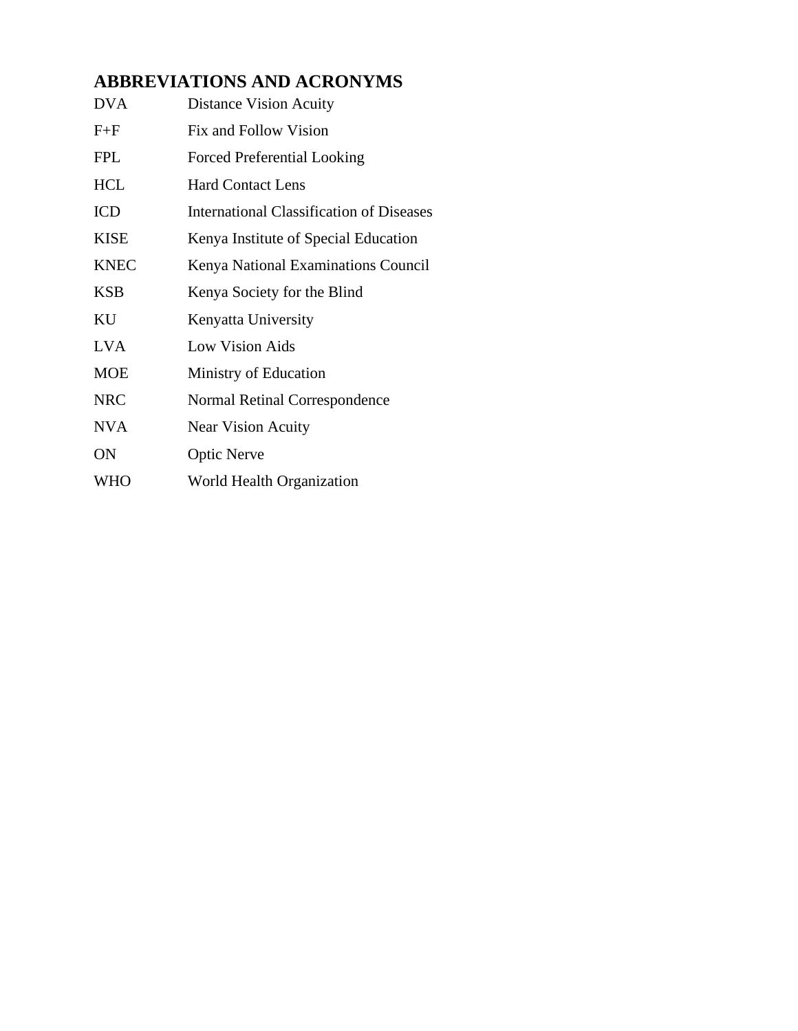# <span id="page-8-0"></span>**ABBREVIATIONS AND ACRONYMS**

| <b>DVA</b>  | <b>Distance Vision Acuity</b>                   |
|-------------|-------------------------------------------------|
| $F + F$     | Fix and Follow Vision                           |
| <b>FPL</b>  | <b>Forced Preferential Looking</b>              |
| <b>HCL</b>  | <b>Hard Contact Lens</b>                        |
| <b>ICD</b>  | <b>International Classification of Diseases</b> |
| <b>KISE</b> | Kenya Institute of Special Education            |
| <b>KNEC</b> | Kenya National Examinations Council             |
| <b>KSB</b>  | Kenya Society for the Blind                     |
| KU          | Kenyatta University                             |
| <b>LVA</b>  | Low Vision Aids                                 |
| <b>MOE</b>  | Ministry of Education                           |
| <b>NRC</b>  | Normal Retinal Correspondence                   |
| <b>NVA</b>  | <b>Near Vision Acuity</b>                       |
| <b>ON</b>   | <b>Optic Nerve</b>                              |
| <b>WHO</b>  | World Health Organization                       |
|             |                                                 |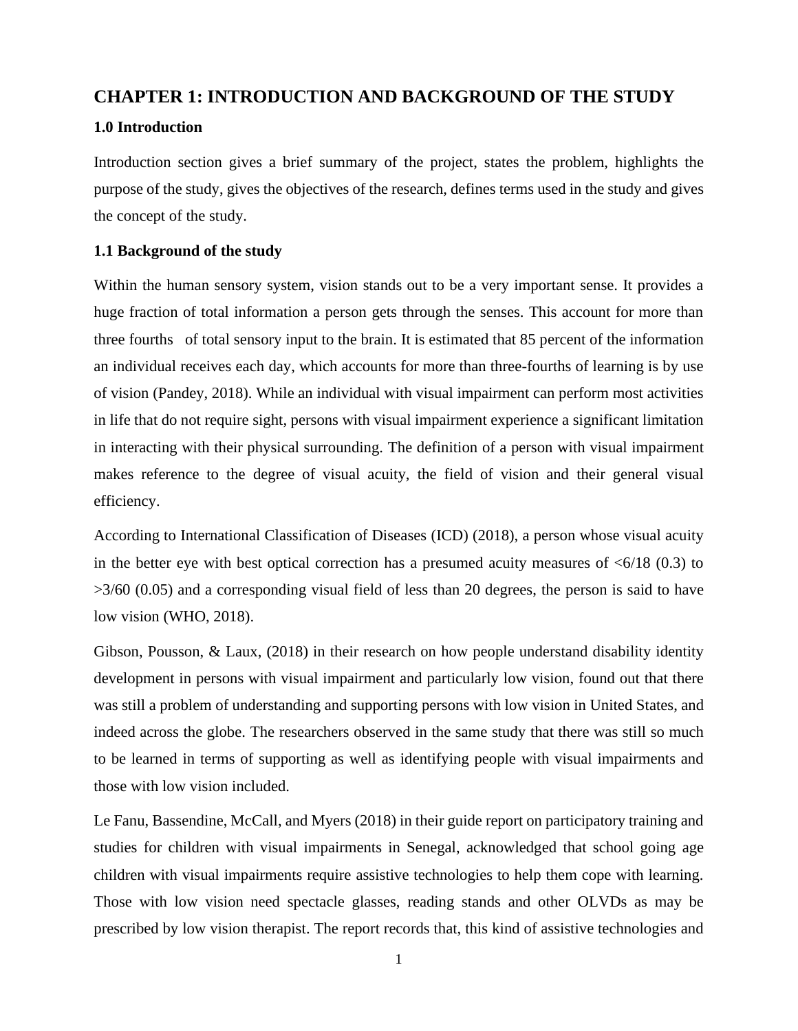# <span id="page-9-0"></span>**CHAPTER 1: INTRODUCTION AND BACKGROUND OF THE STUDY**

### <span id="page-9-1"></span>**1.0 Introduction**

Introduction section gives a brief summary of the project, states the problem, highlights the purpose of the study, gives the objectives of the research, defines terms used in the study and gives the concept of the study.

## <span id="page-9-2"></span>**1.1 Background of the study**

Within the human sensory system, vision stands out to be a very important sense. It provides a huge fraction of total information a person gets through the senses. This account for more than three fourths of total sensory input to the brain. It is estimated that 85 percent of the information an individual receives each day, which accounts for more than three-fourths of learning is by use of vision (Pandey, 2018). While an individual with visual impairment can perform most activities in life that do not require sight, persons with visual impairment experience a significant limitation in interacting with their physical surrounding. The definition of a person with visual impairment makes reference to the degree of visual acuity, the field of vision and their general visual efficiency.

According to International Classification of Diseases (ICD) (2018), a person whose visual acuity in the better eye with best optical correction has a presumed acuity measures of  $\langle 6/18 \rangle$  (0.3) to >3/60 (0.05) and a corresponding visual field of less than 20 degrees, the person is said to have low vision (WHO, 2018).

Gibson, Pousson, & Laux, (2018) in their research on how people understand disability identity development in persons with visual impairment and particularly low vision, found out that there was still a problem of understanding and supporting persons with low vision in United States, and indeed across the globe. The researchers observed in the same study that there was still so much to be learned in terms of supporting as well as identifying people with visual impairments and those with low vision included.

Le Fanu, Bassendine, McCall, and Myers (2018) in their guide report on participatory training and studies for children with visual impairments in Senegal, acknowledged that school going age children with visual impairments require assistive technologies to help them cope with learning. Those with low vision need spectacle glasses, reading stands and other OLVDs as may be prescribed by low vision therapist. The report records that, this kind of assistive technologies and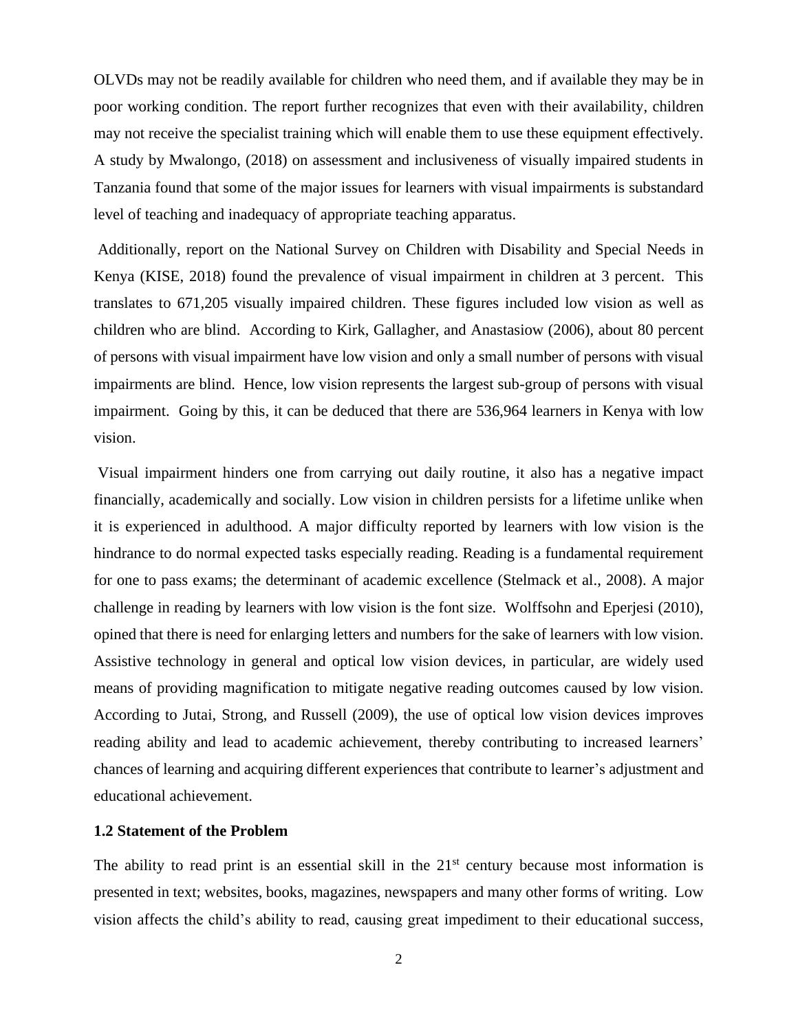OLVDs may not be readily available for children who need them, and if available they may be in poor working condition. The report further recognizes that even with their availability, children may not receive the specialist training which will enable them to use these equipment effectively. A study by Mwalongo, (2018) on assessment and inclusiveness of visually impaired students in Tanzania found that some of the major issues for learners with visual impairments is substandard level of teaching and inadequacy of appropriate teaching apparatus.

Additionally, report on the National Survey on Children with Disability and Special Needs in Kenya (KISE, 2018) found the prevalence of visual impairment in children at 3 percent. This translates to 671,205 visually impaired children. These figures included low vision as well as children who are blind. According to Kirk, Gallagher, and Anastasiow (2006), about 80 percent of persons with visual impairment have low vision and only a small number of persons with visual impairments are blind. Hence, low vision represents the largest sub-group of persons with visual impairment. Going by this, it can be deduced that there are 536,964 learners in Kenya with low vision.

Visual impairment hinders one from carrying out daily routine, it also has a negative impact financially, academically and socially. Low vision in children persists for a lifetime unlike when it is experienced in adulthood. A major difficulty reported by learners with low vision is the hindrance to do normal expected tasks especially reading. Reading is a fundamental requirement for one to pass exams; the determinant of academic excellence (Stelmack et al., 2008). A major challenge in reading by learners with low vision is the font size. Wolffsohn and Eperjesi (2010), opined that there is need for enlarging letters and numbers for the sake of learners with low vision. Assistive technology in general and optical low vision devices, in particular, are widely used means of providing magnification to mitigate negative reading outcomes caused by low vision. According to Jutai, Strong, and Russell (2009), the use of optical low vision devices improves reading ability and lead to academic achievement, thereby contributing to increased learners' chances of learning and acquiring different experiences that contribute to learner's adjustment and educational achievement.

### <span id="page-10-0"></span>**1.2 Statement of the Problem**

The ability to read print is an essential skill in the  $21<sup>st</sup>$  century because most information is presented in text; websites, books, magazines, newspapers and many other forms of writing. Low vision affects the child's ability to read, causing great impediment to their educational success,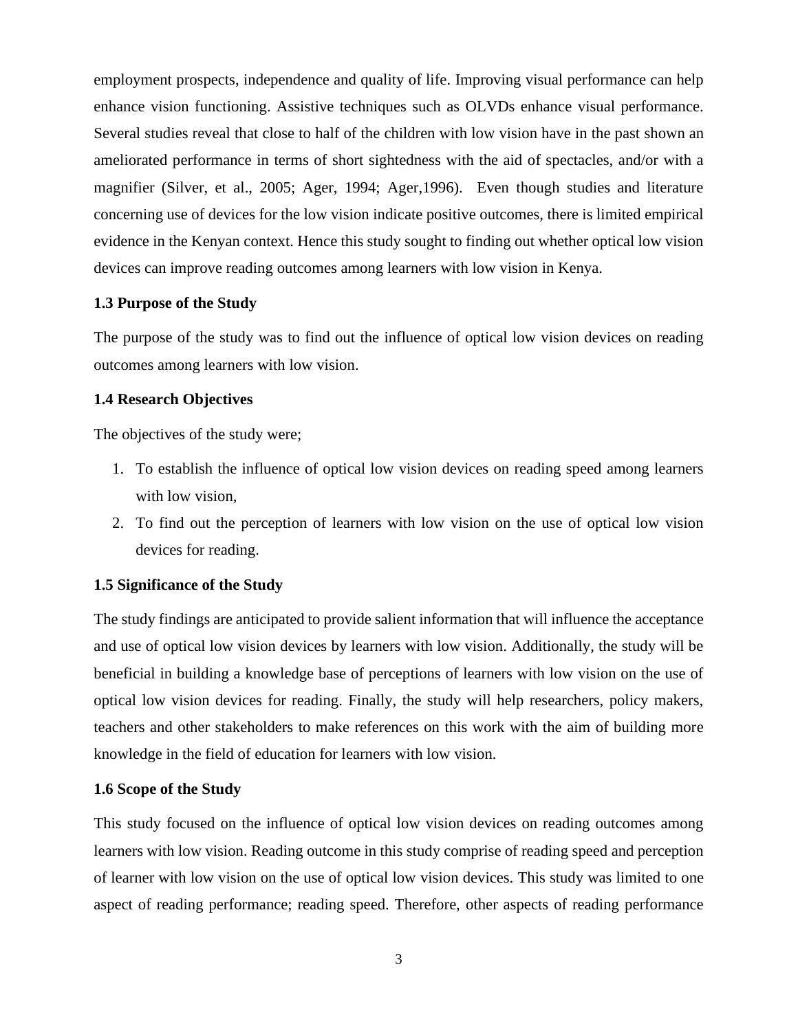employment prospects, independence and quality of life. Improving visual performance can help enhance vision functioning. Assistive techniques such as OLVDs enhance visual performance. Several studies reveal that close to half of the children with low vision have in the past shown an ameliorated performance in terms of short sightedness with the aid of spectacles, and/or with a magnifier (Silver, et al., 2005; Ager, 1994; Ager,1996). Even though studies and literature concerning use of devices for the low vision indicate positive outcomes, there is limited empirical evidence in the Kenyan context. Hence this study sought to finding out whether optical low vision devices can improve reading outcomes among learners with low vision in Kenya.

## <span id="page-11-0"></span>**1.3 Purpose of the Study**

The purpose of the study was to find out the influence of optical low vision devices on reading outcomes among learners with low vision.

### <span id="page-11-1"></span>**1.4 Research Objectives**

The objectives of the study were;

- 1. To establish the influence of optical low vision devices on reading speed among learners with low vision,
- 2. To find out the perception of learners with low vision on the use of optical low vision devices for reading.

## <span id="page-11-2"></span>**1.5 Significance of the Study**

The study findings are anticipated to provide salient information that will influence the acceptance and use of optical low vision devices by learners with low vision. Additionally, the study will be beneficial in building a knowledge base of perceptions of learners with low vision on the use of optical low vision devices for reading. Finally, the study will help researchers, policy makers, teachers and other stakeholders to make references on this work with the aim of building more knowledge in the field of education for learners with low vision.

#### <span id="page-11-3"></span>**1.6 Scope of the Study**

This study focused on the influence of optical low vision devices on reading outcomes among learners with low vision. Reading outcome in this study comprise of reading speed and perception of learner with low vision on the use of optical low vision devices. This study was limited to one aspect of reading performance; reading speed. Therefore, other aspects of reading performance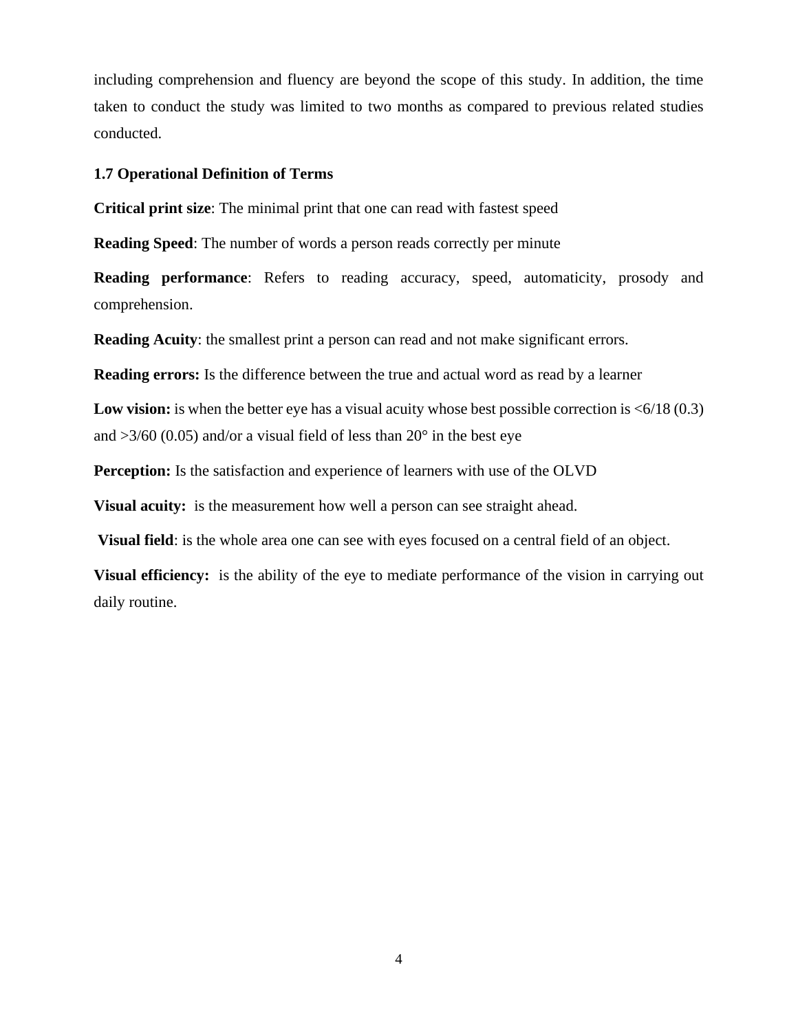including comprehension and fluency are beyond the scope of this study. In addition, the time taken to conduct the study was limited to two months as compared to previous related studies conducted.

#### <span id="page-12-0"></span>**1.7 Operational Definition of Terms**

**Critical print size**: The minimal print that one can read with fastest speed

**Reading Speed**: The number of words a person reads correctly per minute

**Reading performance**: Refers to reading accuracy, speed, automaticity, prosody and comprehension.

**Reading Acuity:** the smallest print a person can read and not make significant errors.

**Reading errors:** Is the difference between the true and actual word as read by a learner

**Low vision:** is when the better eye has a visual acuity whose best possible correction is  $\leq 6/18$  (0.3) and  $>3/60$  (0.05) and/or a visual field of less than 20 $^{\circ}$  in the best eye

**Perception:** Is the satisfaction and experience of learners with use of the OLVD

**Visual acuity:** is the measurement how well a person can see straight ahead.

**Visual field**: is the whole area one can see with eyes focused on a central field of an object.

**Visual efficiency:** is the ability of the eye to mediate performance of the vision in carrying out daily routine.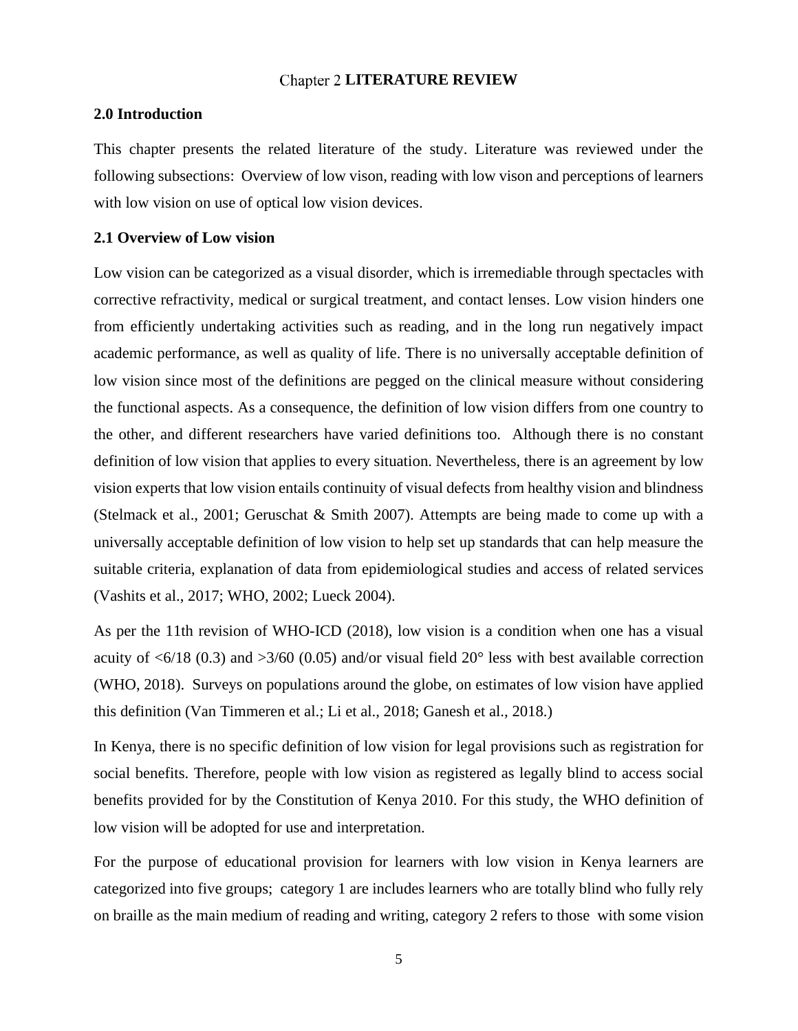#### **Chapter 2 LITERATURE REVIEW**

#### <span id="page-13-1"></span><span id="page-13-0"></span>**2.0 Introduction**

This chapter presents the related literature of the study. Literature was reviewed under the following subsections: Overview of low vison, reading with low vison and perceptions of learners with low vision on use of optical low vision devices.

#### <span id="page-13-2"></span>**2.1 Overview of Low vision**

Low vision can be categorized as a visual disorder, which is irremediable through spectacles with corrective refractivity, medical or surgical treatment, and contact lenses. Low vision hinders one from efficiently undertaking activities such as reading, and in the long run negatively impact academic performance, as well as quality of life. There is no universally acceptable definition of low vision since most of the definitions are pegged on the clinical measure without considering the functional aspects. As a consequence, the definition of low vision differs from one country to the other, and different researchers have varied definitions too. Although there is no constant definition of low vision that applies to every situation. Nevertheless, there is an agreement by low vision experts that low vision entails continuity of visual defects from healthy vision and blindness (Stelmack et al., 2001; Geruschat & Smith 2007). Attempts are being made to come up with a universally acceptable definition of low vision to help set up standards that can help measure the suitable criteria, explanation of data from epidemiological studies and access of related services (Vashits et al., 2017; WHO, 2002; Lueck 2004).

As per the 11th revision of WHO-ICD (2018), low vision is a condition when one has a visual acuity of  $\langle 6/18 (0.3)$  and  $\langle 3/60 (0.05)$  and/or visual field 20<sup>°</sup> less with best available correction (WHO, 2018). Surveys on populations around the globe, on estimates of low vision have applied this definition (Van Timmeren et al.; Li et al., 2018; Ganesh et al., 2018.)

In Kenya, there is no specific definition of low vision for legal provisions such as registration for social benefits. Therefore, people with low vision as registered as legally blind to access social benefits provided for by the Constitution of Kenya 2010. For this study, the WHO definition of low vision will be adopted for use and interpretation.

For the purpose of educational provision for learners with low vision in Kenya learners are categorized into five groups; category 1 are includes learners who are totally blind who fully rely on braille as the main medium of reading and writing, category 2 refers to those with some vision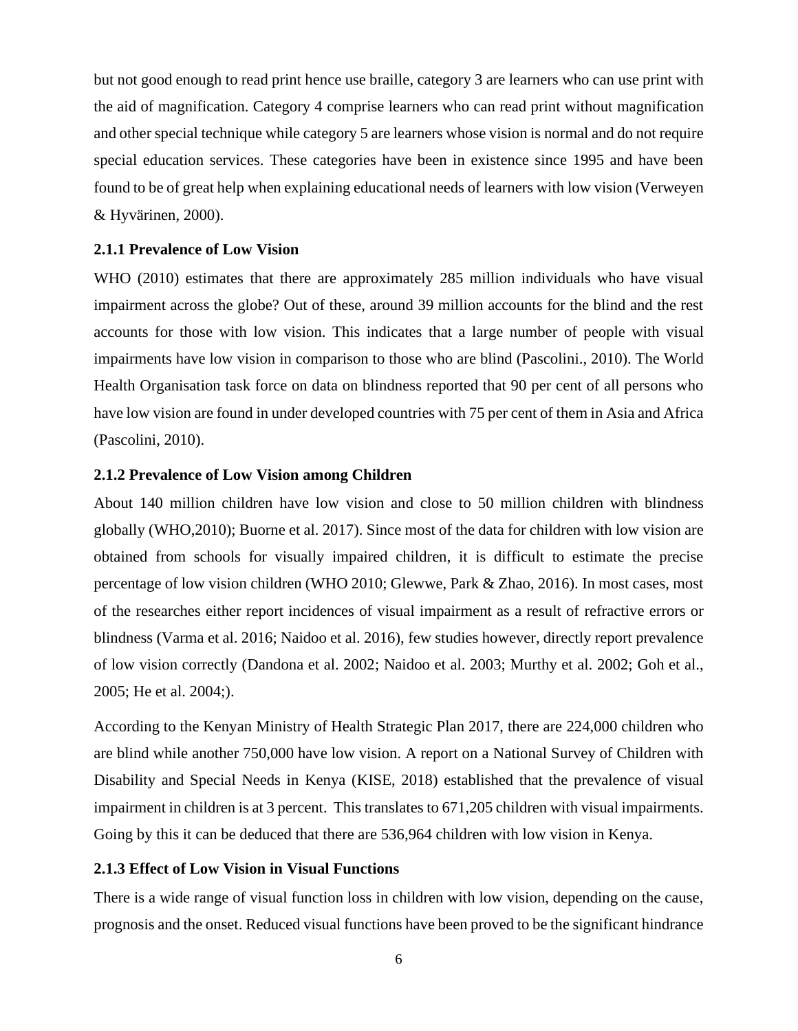but not good enough to read print hence use braille, category 3 are learners who can use print with the aid of magnification. Category 4 comprise learners who can read print without magnification and other special technique while category 5 are learners whose vision is normal and do not require special education services. These categories have been in existence since 1995 and have been found to be of great help when explaining educational needs of learners with low vision (Verweyen & Hyvärinen, 2000).

#### <span id="page-14-0"></span>**2.1.1 Prevalence of Low Vision**

WHO (2010) estimates that there are approximately 285 million individuals who have visual impairment across the globe? Out of these, around 39 million accounts for the blind and the rest accounts for those with low vision. This indicates that a large number of people with visual impairments have low vision in comparison to those who are blind (Pascolini., 2010). The World Health Organisation task force on data on blindness reported that 90 per cent of all persons who have low vision are found in under developed countries with 75 per cent of them in Asia and Africa (Pascolini, 2010).

#### <span id="page-14-1"></span>**2.1.2 Prevalence of Low Vision among Children**

About 140 million children have low vision and close to 50 million children with blindness globally (WHO,2010); Buorne et al. 2017). Since most of the data for children with low vision are obtained from schools for visually impaired children, it is difficult to estimate the precise percentage of low vision children (WHO 2010; Glewwe, Park & Zhao, 2016). In most cases, most of the researches either report incidences of visual impairment as a result of refractive errors or blindness (Varma et al. 2016; Naidoo et al. 2016), few studies however, directly report prevalence of low vision correctly (Dandona et al. 2002; Naidoo et al. 2003; Murthy et al. 2002; Goh et al., 2005; He et al. 2004;).

According to the Kenyan Ministry of Health Strategic Plan 2017, there are 224,000 children who are blind while another 750,000 have low vision. A report on a National Survey of Children with Disability and Special Needs in Kenya (KISE, 2018) established that the prevalence of visual impairment in children is at 3 percent. This translates to 671,205 children with visual impairments. Going by this it can be deduced that there are 536,964 children with low vision in Kenya.

### <span id="page-14-2"></span>**2.1.3 Effect of Low Vision in Visual Functions**

There is a wide range of visual function loss in children with low vision, depending on the cause, prognosis and the onset. Reduced visual functions have been proved to be the significant hindrance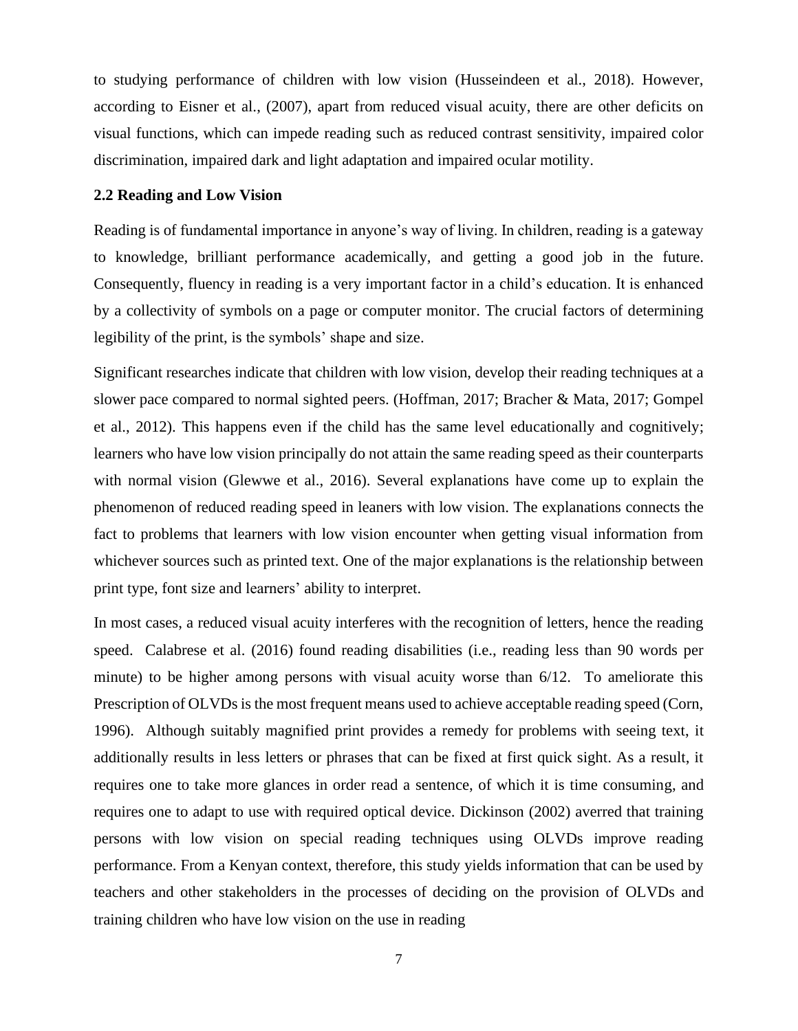to studying performance of children with low vision (Husseindeen et al., 2018). However, according to Eisner et al., (2007), apart from reduced visual acuity, there are other deficits on visual functions, which can impede reading such as reduced contrast sensitivity, impaired color discrimination, impaired dark and light adaptation and impaired ocular motility.

#### <span id="page-15-0"></span>**2.2 Reading and Low Vision**

Reading is of fundamental importance in anyone's way of living. In children, reading is a gateway to knowledge, brilliant performance academically, and getting a good job in the future. Consequently, fluency in reading is a very important factor in a child's education. It is enhanced by a collectivity of symbols on a page or computer monitor. The crucial factors of determining legibility of the print, is the symbols' shape and size.

Significant researches indicate that children with low vision, develop their reading techniques at a slower pace compared to normal sighted peers. (Hoffman, 2017; Bracher & Mata, 2017; Gompel et al., 2012). This happens even if the child has the same level educationally and cognitively; learners who have low vision principally do not attain the same reading speed as their counterparts with normal vision (Glewwe et al., 2016). Several explanations have come up to explain the phenomenon of reduced reading speed in leaners with low vision. The explanations connects the fact to problems that learners with low vision encounter when getting visual information from whichever sources such as printed text. One of the major explanations is the relationship between print type, font size and learners' ability to interpret.

In most cases, a reduced visual acuity interferes with the recognition of letters, hence the reading speed. Calabrese et al. (2016) found reading disabilities (i.e., reading less than 90 words per minute) to be higher among persons with visual acuity worse than 6/12. To ameliorate this Prescription of OLVDs is the most frequent means used to achieve acceptable reading speed (Corn, 1996). Although suitably magnified print provides a remedy for problems with seeing text, it additionally results in less letters or phrases that can be fixed at first quick sight. As a result, it requires one to take more glances in order read a sentence, of which it is time consuming, and requires one to adapt to use with required optical device. Dickinson (2002) averred that training persons with low vision on special reading techniques using OLVDs improve reading performance. From a Kenyan context, therefore, this study yields information that can be used by teachers and other stakeholders in the processes of deciding on the provision of OLVDs and training children who have low vision on the use in reading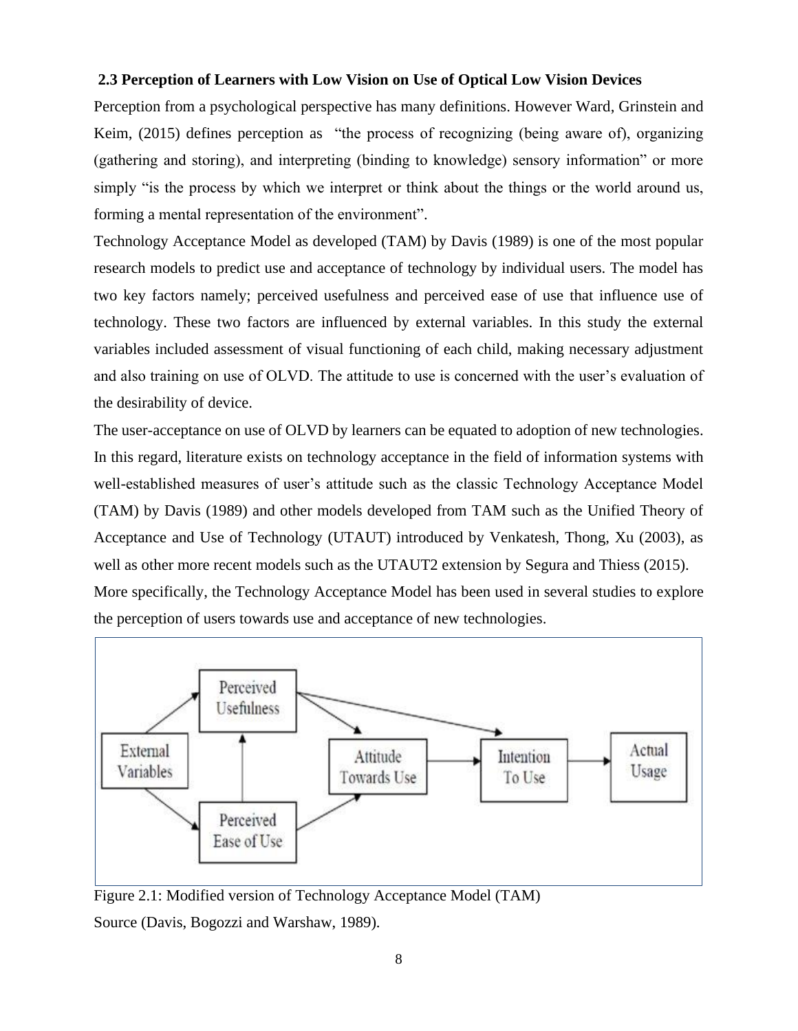### <span id="page-16-0"></span>**2.3 Perception of Learners with Low Vision on Use of Optical Low Vision Devices**

Perception from a psychological perspective has many definitions. However Ward, Grinstein and Keim, (2015) defines perception as "the process of recognizing (being aware of), organizing (gathering and storing), and interpreting (binding to knowledge) sensory information" or more simply "is the process by which we interpret or think about the things or the world around us, forming a mental representation of the environment".

Technology Acceptance Model as developed (TAM) by Davis (1989) is one of the most popular research models to predict use and acceptance of technology by individual users. The model has two key factors namely; perceived usefulness and perceived ease of use that influence use of technology. These two factors are influenced by external variables. In this study the external variables included assessment of visual functioning of each child, making necessary adjustment and also training on use of OLVD. The attitude to use is concerned with the user's evaluation of the desirability of device.

The user-acceptance on use of OLVD by learners can be equated to adoption of new technologies. In this regard, literature exists on technology acceptance in the field of information systems with well-established measures of user's attitude such as the classic Technology Acceptance Model (TAM) by Davis (1989) and other models developed from TAM such as the Unified Theory of Acceptance and Use of Technology (UTAUT) introduced by Venkatesh, Thong, Xu (2003), as well as other more recent models such as the UTAUT2 extension by Segura and Thiess (2015). More specifically, the Technology Acceptance Model has been used in several studies to explore the perception of users towards use and acceptance of new technologies.



<span id="page-16-1"></span>Figure 2.1: Modified version of Technology Acceptance Model (TAM) Source (Davis, Bogozzi and Warshaw, 1989).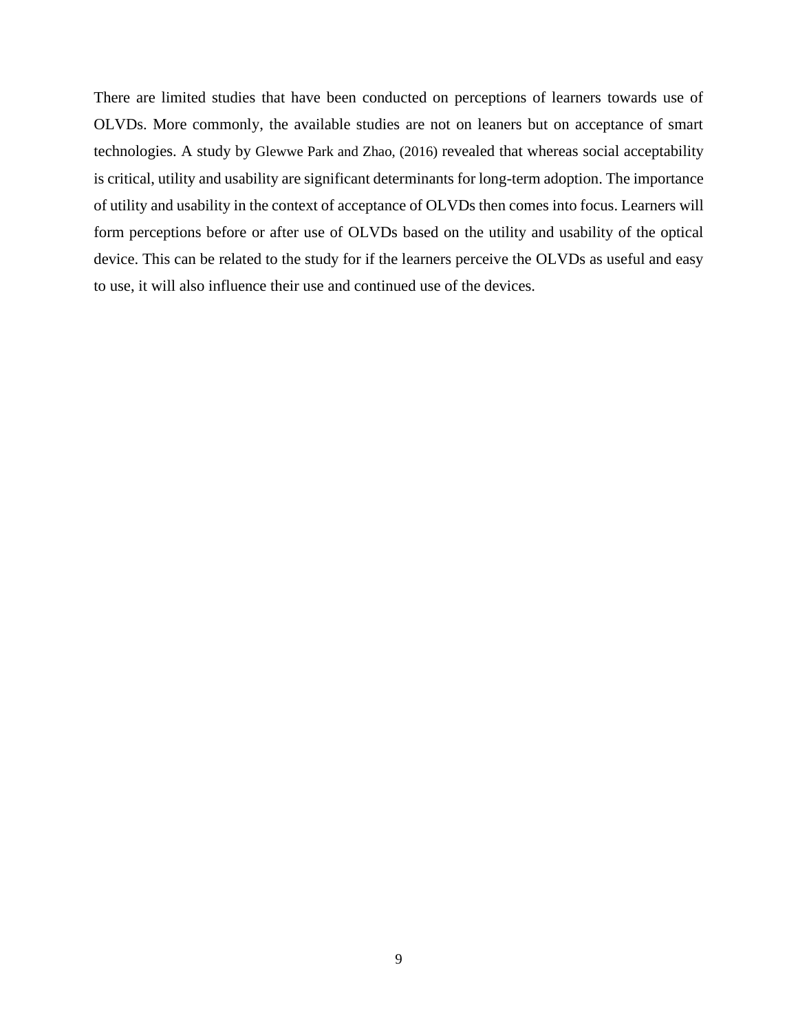There are limited studies that have been conducted on perceptions of learners towards use of OLVDs. More commonly, the available studies are not on leaners but on acceptance of smart technologies. A study by Glewwe Park and Zhao, (2016) revealed that whereas social acceptability is critical, utility and usability are significant determinants for long-term adoption. The importance of utility and usability in the context of acceptance of OLVDs then comes into focus. Learners will form perceptions before or after use of OLVDs based on the utility and usability of the optical device. This can be related to the study for if the learners perceive the OLVDs as useful and easy to use, it will also influence their use and continued use of the devices.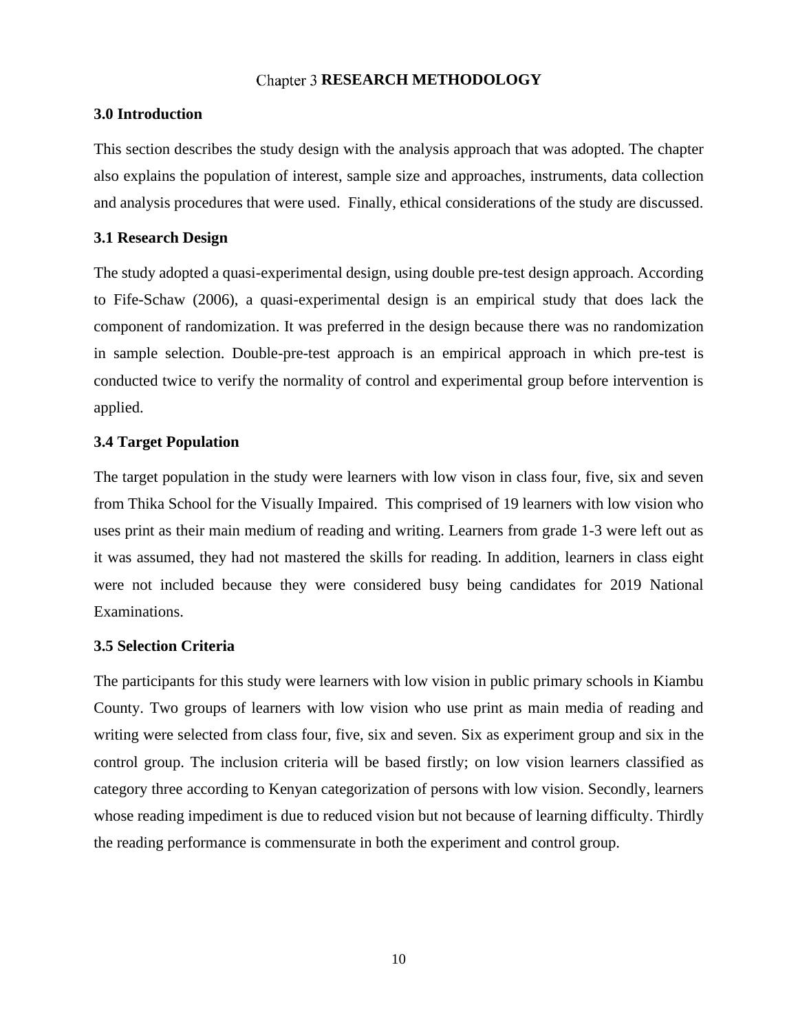## **Chapter 3 RESEARCH METHODOLOGY**

#### <span id="page-18-1"></span><span id="page-18-0"></span>**3.0 Introduction**

This section describes the study design with the analysis approach that was adopted. The chapter also explains the population of interest, sample size and approaches, instruments, data collection and analysis procedures that were used. Finally, ethical considerations of the study are discussed.

### <span id="page-18-2"></span>**3.1 Research Design**

The study adopted a quasi-experimental design, using double pre-test design approach. According to Fife-Schaw (2006), a quasi-experimental design is an empirical study that does lack the component of randomization. It was preferred in the design because there was no randomization in sample selection. Double-pre-test approach is an empirical approach in which pre-test is conducted twice to verify the normality of control and experimental group before intervention is applied.

### <span id="page-18-3"></span>**3.4 Target Population**

The target population in the study were learners with low vison in class four, five, six and seven from Thika School for the Visually Impaired. This comprised of 19 learners with low vision who uses print as their main medium of reading and writing. Learners from grade 1-3 were left out as it was assumed, they had not mastered the skills for reading. In addition, learners in class eight were not included because they were considered busy being candidates for 2019 National Examinations.

## <span id="page-18-4"></span>**3.5 Selection Criteria**

The participants for this study were learners with low vision in public primary schools in Kiambu County. Two groups of learners with low vision who use print as main media of reading and writing were selected from class four, five, six and seven. Six as experiment group and six in the control group. The inclusion criteria will be based firstly; on low vision learners classified as category three according to Kenyan categorization of persons with low vision. Secondly, learners whose reading impediment is due to reduced vision but not because of learning difficulty. Thirdly the reading performance is commensurate in both the experiment and control group.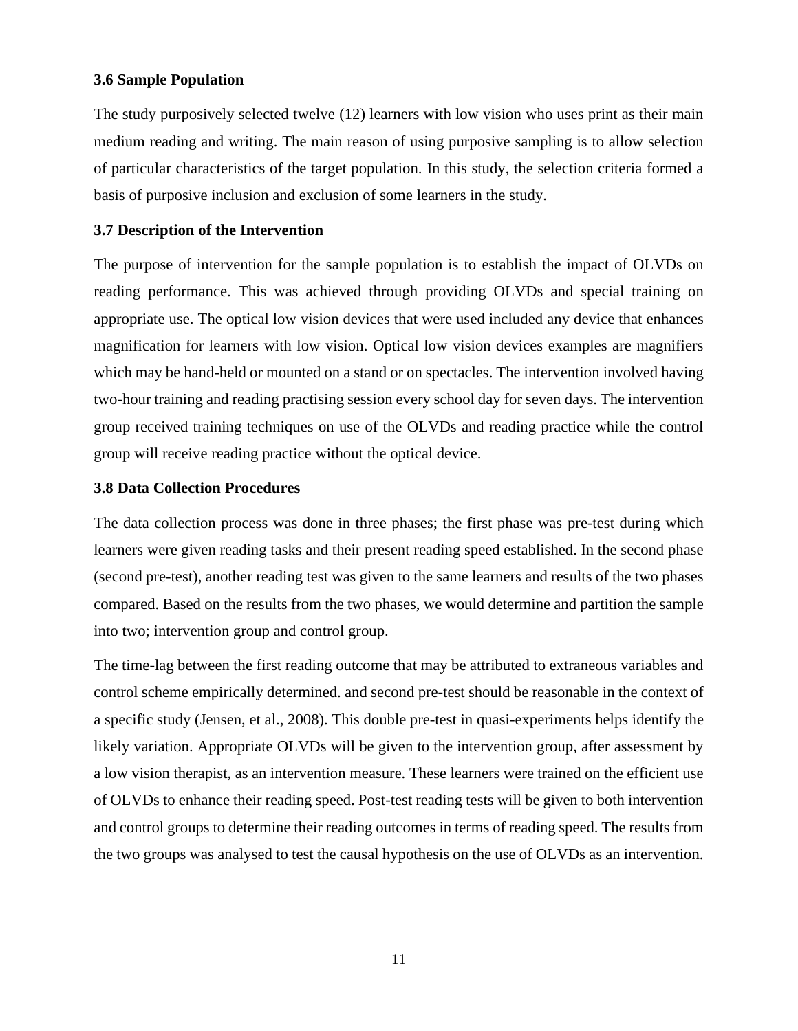### <span id="page-19-0"></span>**3.6 Sample Population**

The study purposively selected twelve (12) learners with low vision who uses print as their main medium reading and writing. The main reason of using purposive sampling is to allow selection of particular characteristics of the target population. In this study, the selection criteria formed a basis of purposive inclusion and exclusion of some learners in the study.

### <span id="page-19-1"></span>**3.7 Description of the Intervention**

The purpose of intervention for the sample population is to establish the impact of OLVDs on reading performance. This was achieved through providing OLVDs and special training on appropriate use. The optical low vision devices that were used included any device that enhances magnification for learners with low vision. Optical low vision devices examples are magnifiers which may be hand-held or mounted on a stand or on spectacles. The intervention involved having two-hour training and reading practising session every school day for seven days. The intervention group received training techniques on use of the OLVDs and reading practice while the control group will receive reading practice without the optical device.

### <span id="page-19-2"></span>**3.8 Data Collection Procedures**

The data collection process was done in three phases; the first phase was pre-test during which learners were given reading tasks and their present reading speed established. In the second phase (second pre-test), another reading test was given to the same learners and results of the two phases compared. Based on the results from the two phases, we would determine and partition the sample into two; intervention group and control group.

The time-lag between the first reading outcome that may be attributed to extraneous variables and control scheme empirically determined. and second pre-test should be reasonable in the context of a specific study (Jensen, et al., 2008). This double pre-test in quasi-experiments helps identify the likely variation. Appropriate OLVDs will be given to the intervention group, after assessment by a low vision therapist, as an intervention measure. These learners were trained on the efficient use of OLVDs to enhance their reading speed. Post-test reading tests will be given to both intervention and control groups to determine their reading outcomes in terms of reading speed. The results from the two groups was analysed to test the causal hypothesis on the use of OLVDs as an intervention.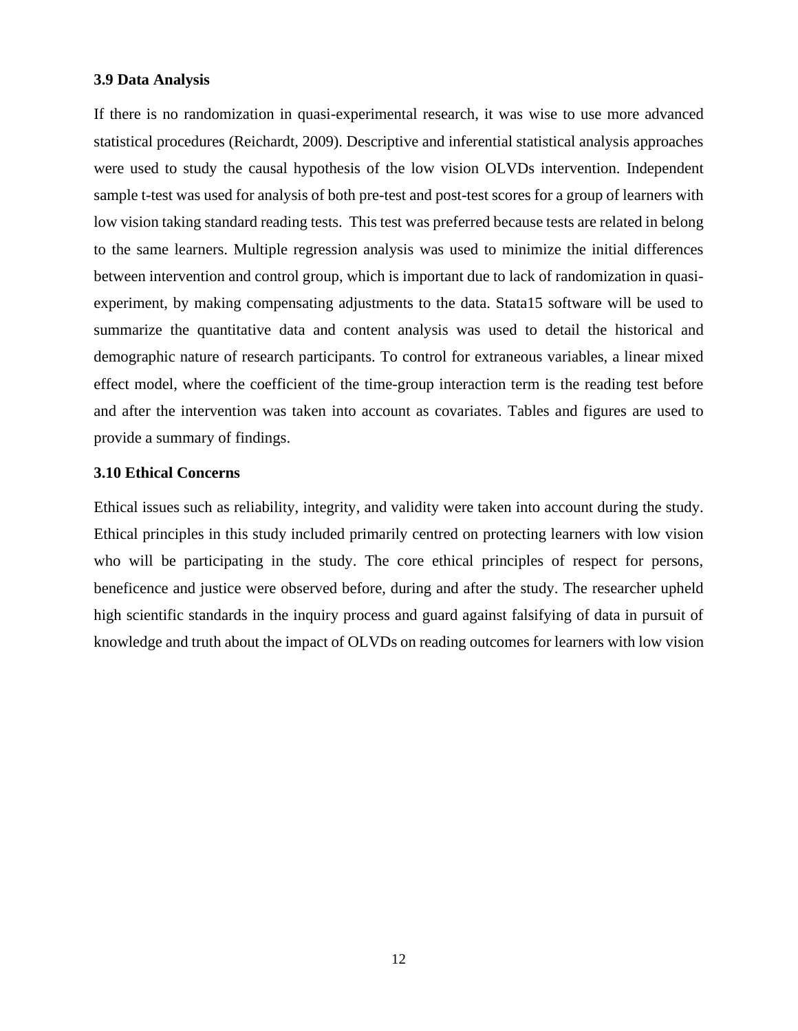#### <span id="page-20-0"></span>**3.9 Data Analysis**

If there is no randomization in quasi-experimental research, it was wise to use more advanced statistical procedures (Reichardt, 2009). Descriptive and inferential statistical analysis approaches were used to study the causal hypothesis of the low vision OLVDs intervention. Independent sample t-test was used for analysis of both pre-test and post-test scores for a group of learners with low vision taking standard reading tests. This test was preferred because tests are related in belong to the same learners. Multiple regression analysis was used to minimize the initial differences between intervention and control group, which is important due to lack of randomization in quasiexperiment, by making compensating adjustments to the data. Stata15 software will be used to summarize the quantitative data and content analysis was used to detail the historical and demographic nature of research participants. To control for extraneous variables, a linear mixed effect model, where the coefficient of the time-group interaction term is the reading test before and after the intervention was taken into account as covariates. Tables and figures are used to provide a summary of findings.

## <span id="page-20-1"></span>**3.10 Ethical Concerns**

Ethical issues such as reliability, integrity, and validity were taken into account during the study. Ethical principles in this study included primarily centred on protecting learners with low vision who will be participating in the study. The core ethical principles of respect for persons, beneficence and justice were observed before, during and after the study. The researcher upheld high scientific standards in the inquiry process and guard against falsifying of data in pursuit of knowledge and truth about the impact of OLVDs on reading outcomes for learners with low vision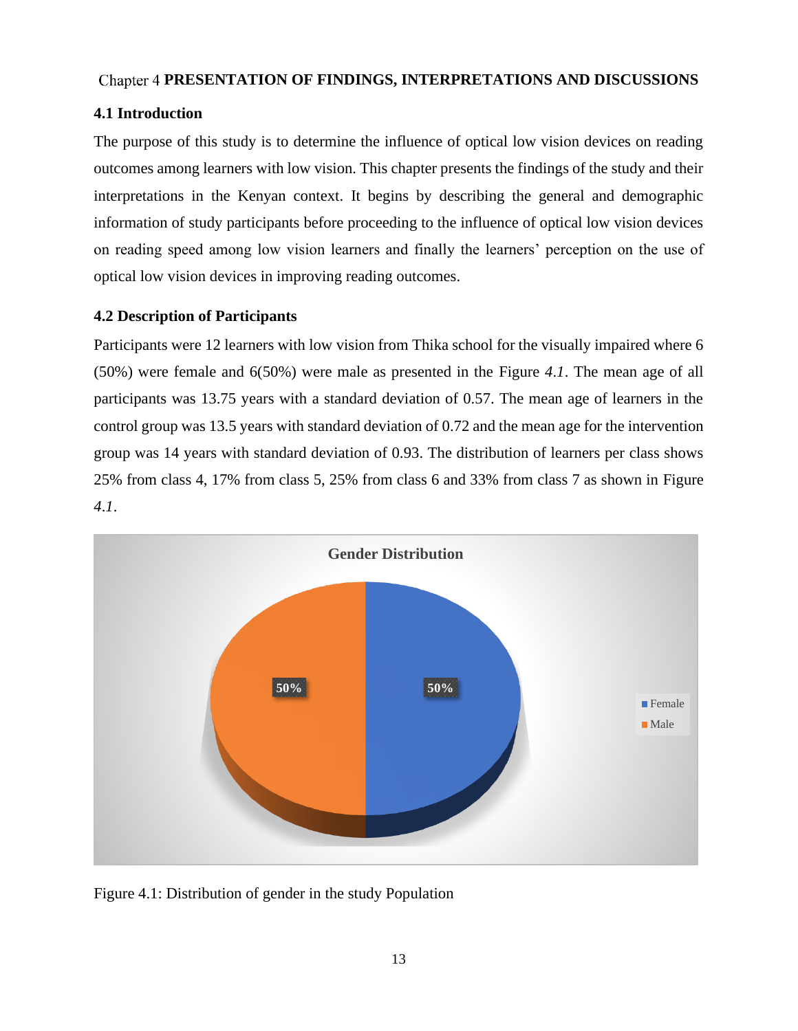# <span id="page-21-0"></span>Chapter 4 PRESENTATION OF FINDINGS, INTERPRETATIONS AND DISCUSSIONS

# <span id="page-21-1"></span>**4.1 Introduction**

The purpose of this study is to determine the influence of optical low vision devices on reading outcomes among learners with low vision. This chapter presents the findings of the study and their interpretations in the Kenyan context. It begins by describing the general and demographic information of study participants before proceeding to the influence of optical low vision devices on reading speed among low vision learners and finally the learners' perception on the use of optical low vision devices in improving reading outcomes.

# <span id="page-21-2"></span>**4.2 Description of Participants**

Participants were 12 learners with low vision from Thika school for the visually impaired where 6 (50%) were female and 6(50%) were male as presented in the [Figure](#page-21-3) *4*.*1*. The mean age of all participants was 13.75 years with a standard deviation of 0.57. The mean age of learners in the control group was 13.5 years with standard deviation of 0.72 and the mean age for the intervention group was 14 years with standard deviation of 0.93. The distribution of learners per class shows 25% from class 4, 17% from class 5, 25% from class 6 and 33% from class 7 as shown in [Figure](#page-21-3)  *[4](#page-21-3)*.*1*.



<span id="page-21-3"></span>Figure 4.1: Distribution of gender in the study Population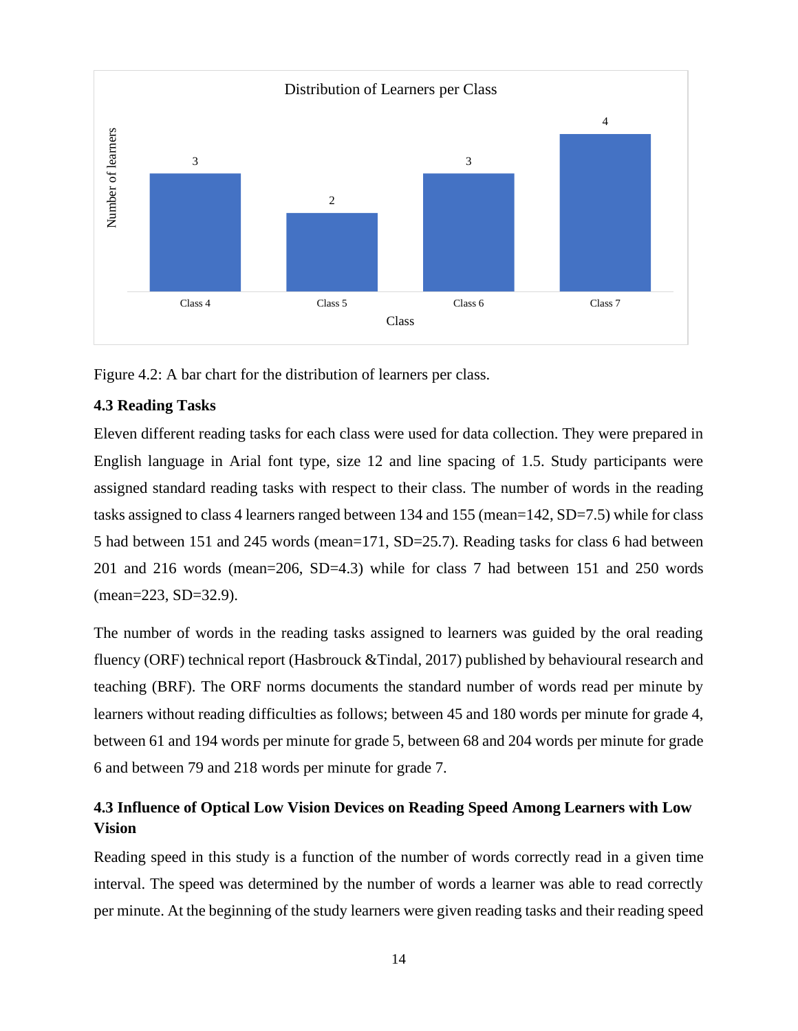

<span id="page-22-2"></span>Figure 4.2: A bar chart for the distribution of learners per class.

# <span id="page-22-0"></span>**4.3 Reading Tasks**

Eleven different reading tasks for each class were used for data collection. They were prepared in English language in Arial font type, size 12 and line spacing of 1.5. Study participants were assigned standard reading tasks with respect to their class. The number of words in the reading tasks assigned to class 4 learners ranged between 134 and 155 (mean=142, SD=7.5) while for class 5 had between 151 and 245 words (mean=171, SD=25.7). Reading tasks for class 6 had between 201 and 216 words (mean=206, SD=4.3) while for class 7 had between 151 and 250 words (mean=223, SD=32.9).

The number of words in the reading tasks assigned to learners was guided by the oral reading fluency (ORF) technical report (Hasbrouck & Tindal, 2017) published by behavioural research and teaching (BRF). The ORF norms documents the standard number of words read per minute by learners without reading difficulties as follows; between 45 and 180 words per minute for grade 4, between 61 and 194 words per minute for grade 5, between 68 and 204 words per minute for grade 6 and between 79 and 218 words per minute for grade 7.

# <span id="page-22-1"></span>**4.3 Influence of Optical Low Vision Devices on Reading Speed Among Learners with Low Vision**

Reading speed in this study is a function of the number of words correctly read in a given time interval. The speed was determined by the number of words a learner was able to read correctly per minute. At the beginning of the study learners were given reading tasks and their reading speed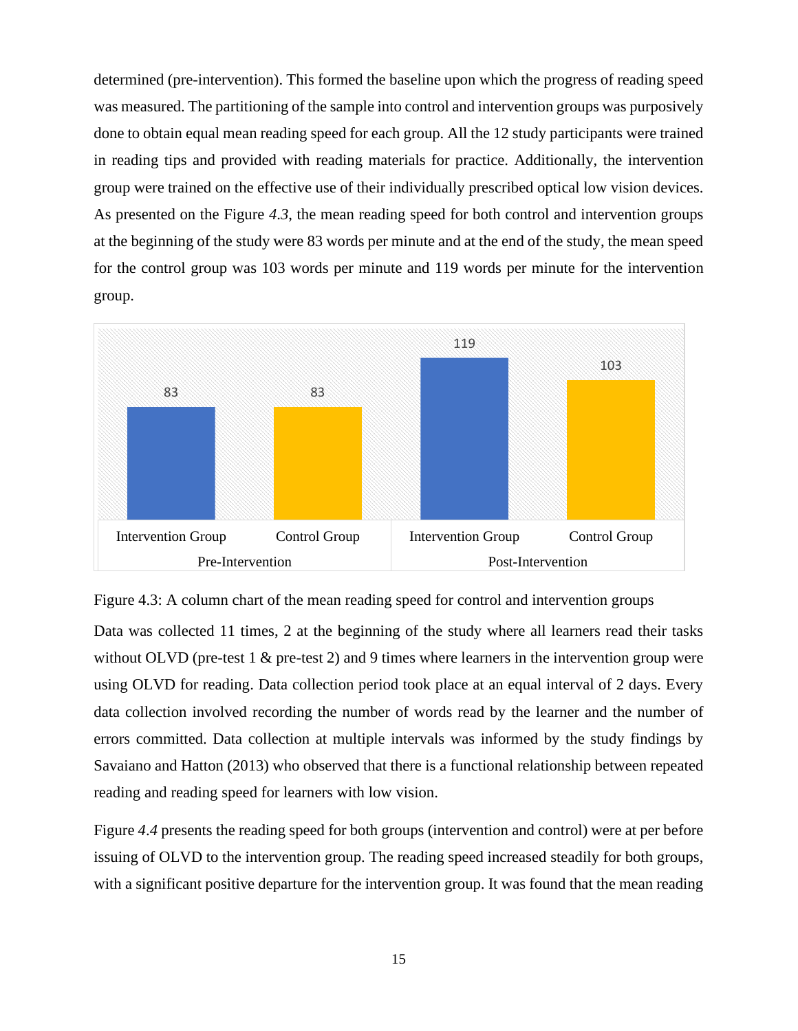determined (pre-intervention). This formed the baseline upon which the progress of reading speed was measured. The partitioning of the sample into control and intervention groups was purposively done to obtain equal mean reading speed for each group. All the 12 study participants were trained in reading tips and provided with reading materials for practice. Additionally, the intervention group were trained on the effective use of their individually prescribed optical low vision devices. As presented on the [Figure](#page-23-0) *4*.*3*, the mean reading speed for both control and intervention groups at the beginning of the study were 83 words per minute and at the end of the study, the mean speed for the control group was 103 words per minute and 119 words per minute for the intervention group.



<span id="page-23-0"></span>

Data was collected 11 times, 2 at the beginning of the study where all learners read their tasks without OLVD (pre-test 1 & pre-test 2) and 9 times where learners in the intervention group were using OLVD for reading. Data collection period took place at an equal interval of 2 days. Every data collection involved recording the number of words read by the learner and the number of errors committed. Data collection at multiple intervals was informed by the study findings by Savaiano and Hatton (2013) who observed that there is a functional relationship between repeated reading and reading speed for learners with low vision.

[Figure](#page-24-1) *4*.*4* presents the reading speed for both groups (intervention and control) were at per before issuing of OLVD to the intervention group. The reading speed increased steadily for both groups, with a significant positive departure for the intervention group. It was found that the mean reading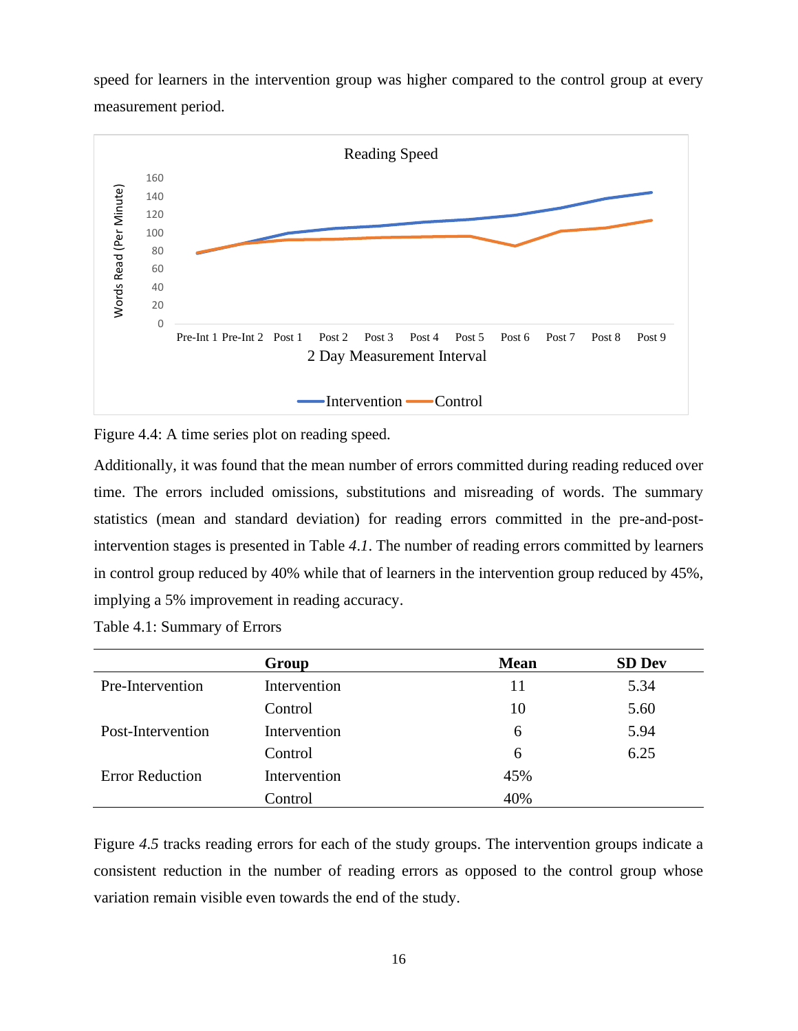speed for learners in the intervention group was higher compared to the control group at every measurement period.



<span id="page-24-1"></span>Figure 4.4: A time series plot on reading speed.

Additionally, it was found that the mean number of errors committed during reading reduced over time. The errors included omissions, substitutions and misreading of words. The summary statistics (mean and standard deviation) for reading errors committed in the pre-and-postintervention stages is presented in [Table](#page-24-0) *4*.*1*. The number of reading errors committed by learners in control group reduced by 40% while that of learners in the intervention group reduced by 45%, implying a 5% improvement in reading accuracy.

<span id="page-24-0"></span>Table 4.1: Summary of Errors

|                        | Group        | <b>Mean</b> | <b>SD Dev</b> |
|------------------------|--------------|-------------|---------------|
| Pre-Intervention       | Intervention | 11          | 5.34          |
|                        | Control      | 10          | 5.60          |
| Post-Intervention      | Intervention | 6           | 5.94          |
|                        | Control      | 6           | 6.25          |
| <b>Error Reduction</b> | Intervention | 45%         |               |
|                        | Control      | 40%         |               |

[Figure](#page-25-0) *4*.*5* tracks reading errors for each of the study groups. The intervention groups indicate a consistent reduction in the number of reading errors as opposed to the control group whose variation remain visible even towards the end of the study.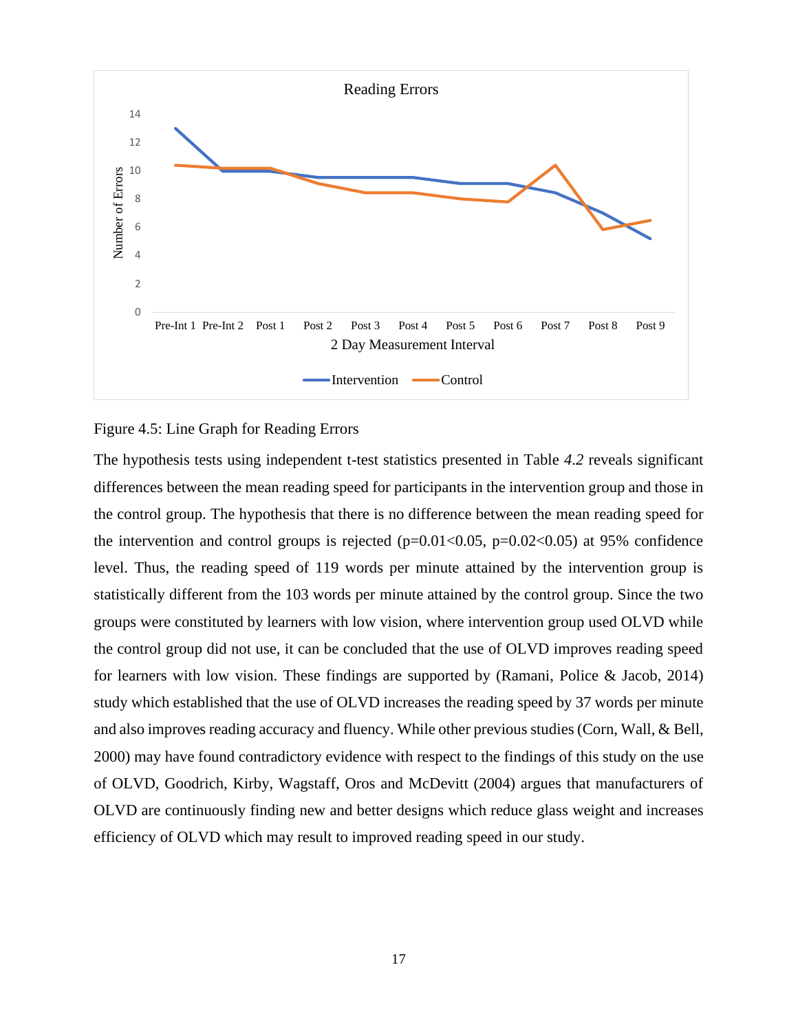

### <span id="page-25-0"></span>Figure 4.5: Line Graph for Reading Errors

The hypothesis tests using independent t-test statistics presented in [Table](#page-26-1) *4*.*2* reveals significant differences between the mean reading speed for participants in the intervention group and those in the control group. The hypothesis that there is no difference between the mean reading speed for the intervention and control groups is rejected  $(p=0.01<0.05, p=0.02<0.05)$  at 95% confidence level. Thus, the reading speed of 119 words per minute attained by the intervention group is statistically different from the 103 words per minute attained by the control group. Since the two groups were constituted by learners with low vision, where intervention group used OLVD while the control group did not use, it can be concluded that the use of OLVD improves reading speed for learners with low vision. These findings are supported by (Ramani, Police & Jacob, 2014) study which established that the use of OLVD increases the reading speed by 37 words per minute and also improves reading accuracy and fluency. While other previous studies (Corn, Wall, & Bell, 2000) may have found contradictory evidence with respect to the findings of this study on the use of OLVD, Goodrich, Kirby, Wagstaff, Oros and McDevitt (2004) argues that manufacturers of OLVD are continuously finding new and better designs which reduce glass weight and increases efficiency of OLVD which may result to improved reading speed in our study.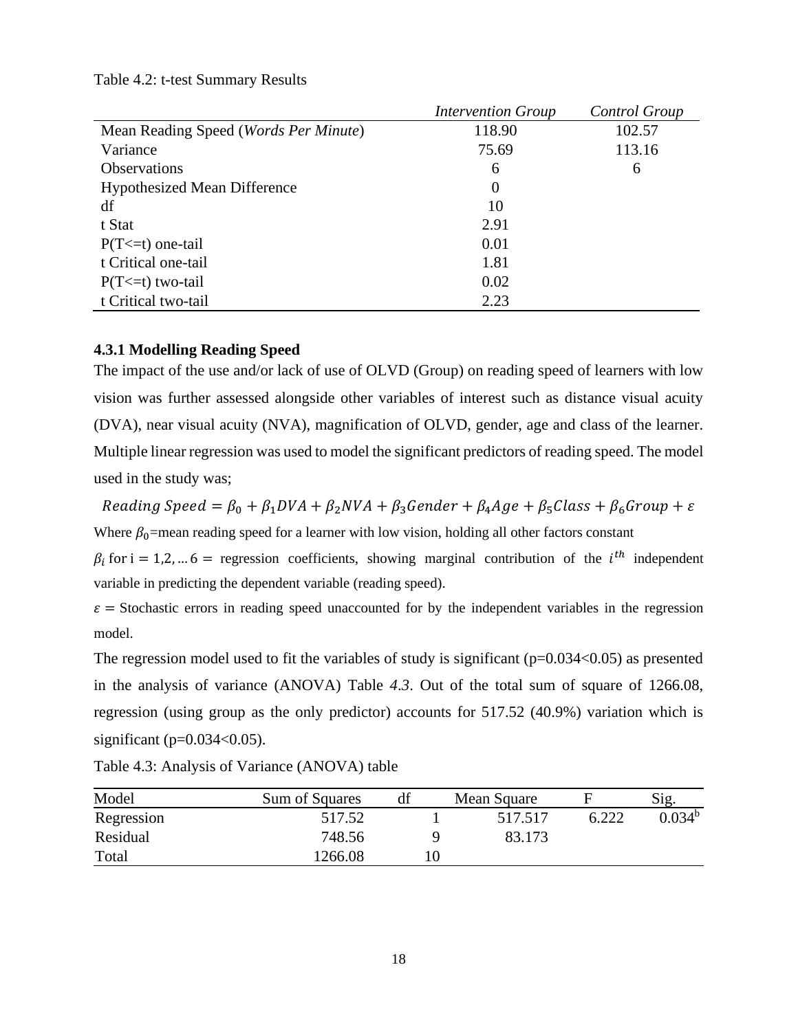#### <span id="page-26-1"></span>Table 4.2: t-test Summary Results

|                                                | <b>Intervention Group</b> | Control Group |
|------------------------------------------------|---------------------------|---------------|
| Mean Reading Speed ( <i>Words Per Minute</i> ) | 118.90                    | 102.57        |
| Variance                                       | 75.69                     | 113.16        |
| <b>Observations</b>                            | 6                         | 6             |
| <b>Hypothesized Mean Difference</b>            | $\theta$                  |               |
| df                                             | 10                        |               |
| t Stat                                         | 2.91                      |               |
| $P(T \le t)$ one-tail                          | 0.01                      |               |
| t Critical one-tail                            | 1.81                      |               |
| $P(T \le t)$ two-tail                          | 0.02                      |               |
| t Critical two-tail                            | 2.23                      |               |

## <span id="page-26-0"></span>**4.3.1 Modelling Reading Speed**

The impact of the use and/or lack of use of OLVD (Group) on reading speed of learners with low vision was further assessed alongside other variables of interest such as distance visual acuity (DVA), near visual acuity (NVA), magnification of OLVD, gender, age and class of the learner. Multiple linear regression was used to model the significant predictors of reading speed. The model used in the study was;

Reading Speed =  $\beta_0 + \beta_1 DVA + \beta_2 NVA + \beta_3 Gender + \beta_4 Age + \beta_5 Class + \beta_6 Group + \varepsilon$ Where  $\beta_0$ =mean reading speed for a learner with low vision, holding all other factors constant

 $\beta_i$  for i = 1,2, ... 6 = regression coefficients, showing marginal contribution of the *i*<sup>th</sup> independent variable in predicting the dependent variable (reading speed).

 $\varepsilon$  = Stochastic errors in reading speed unaccounted for by the independent variables in the regression model.

The regression model used to fit the variables of study is significant  $(p=0.034<0.05)$  as presented in the analysis of variance (ANOVA) [Table](#page-26-2) *4*.*3*. Out of the total sum of square of 1266.08, regression (using group as the only predictor) accounts for 517.52 (40.9%) variation which is significant ( $p=0.034<0.05$ ).

| Model      | Sum of Squares | df | Mean Square |       | Sig.               |
|------------|----------------|----|-------------|-------|--------------------|
| Regression | 517.52         |    | 517.517     | 6.222 | 0.034 <sup>b</sup> |
| Residual   | 748.56         |    | 83.173      |       |                    |
| Total      | 1266.08        |    |             |       |                    |

<span id="page-26-2"></span>Table 4.3: Analysis of Variance (ANOVA) table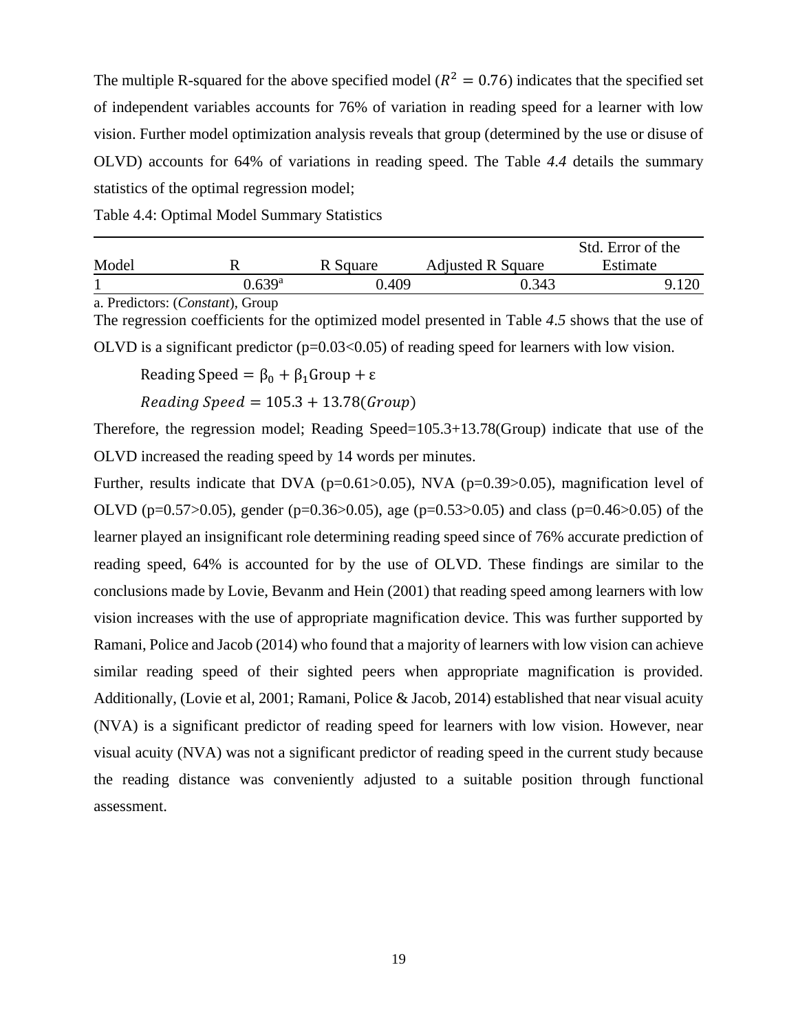The multiple R-squared for the above specified model ( $R^2 = 0.76$ ) indicates that the specified set of independent variables accounts for 76% of variation in reading speed for a learner with low vision. Further model optimization analysis reveals that group (determined by the use or disuse of OLVD) accounts for 64% of variations in reading speed. The [Table](#page-27-0) *4*.*4* details the summary statistics of the optimal regression model;

<span id="page-27-0"></span>Table 4.4: Optimal Model Summary Statistics

|       |        |             |                          | Std. Error of the |
|-------|--------|-------------|--------------------------|-------------------|
| Model |        | Square<br>R | <b>Adjusted R Square</b> | Estimate          |
|       | ) 630ª | .409        | 0.343                    |                   |

a. Predictors: (*Constant*), Group

The regression coefficients for the optimized model presented in [Table](#page-28-0) *4*.*5* shows that the use of OLVD is a significant predictor  $(p=0.03<0.05)$  of reading speed for learners with low vision.

Reading Speed =  $\beta_0 + \beta_1$ Group + ε

 $Reading Speed = 105.3 + 13.78(Group)$ 

Therefore, the regression model; Reading Speed=105.3+13.78(Group) indicate that use of the OLVD increased the reading speed by 14 words per minutes.

Further, results indicate that DVA ( $p=0.61>0.05$ ), NVA ( $p=0.39>0.05$ ), magnification level of OLVD (p=0.57 $>0.05$ ), gender (p=0.36 $>0.05$ ), age (p=0.53 $>0.05$ ) and class (p=0.46 $>0.05$ ) of the learner played an insignificant role determining reading speed since of 76% accurate prediction of reading speed, 64% is accounted for by the use of OLVD. These findings are similar to the conclusions made by Lovie, Bevanm and Hein (2001) that reading speed among learners with low vision increases with the use of appropriate magnification device. This was further supported by Ramani, Police and Jacob (2014) who found that a majority of learners with low vision can achieve similar reading speed of their sighted peers when appropriate magnification is provided. Additionally, (Lovie et al, 2001; Ramani, Police & Jacob, 2014) established that near visual acuity (NVA) is a significant predictor of reading speed for learners with low vision. However, near visual acuity (NVA) was not a significant predictor of reading speed in the current study because the reading distance was conveniently adjusted to a suitable position through functional assessment.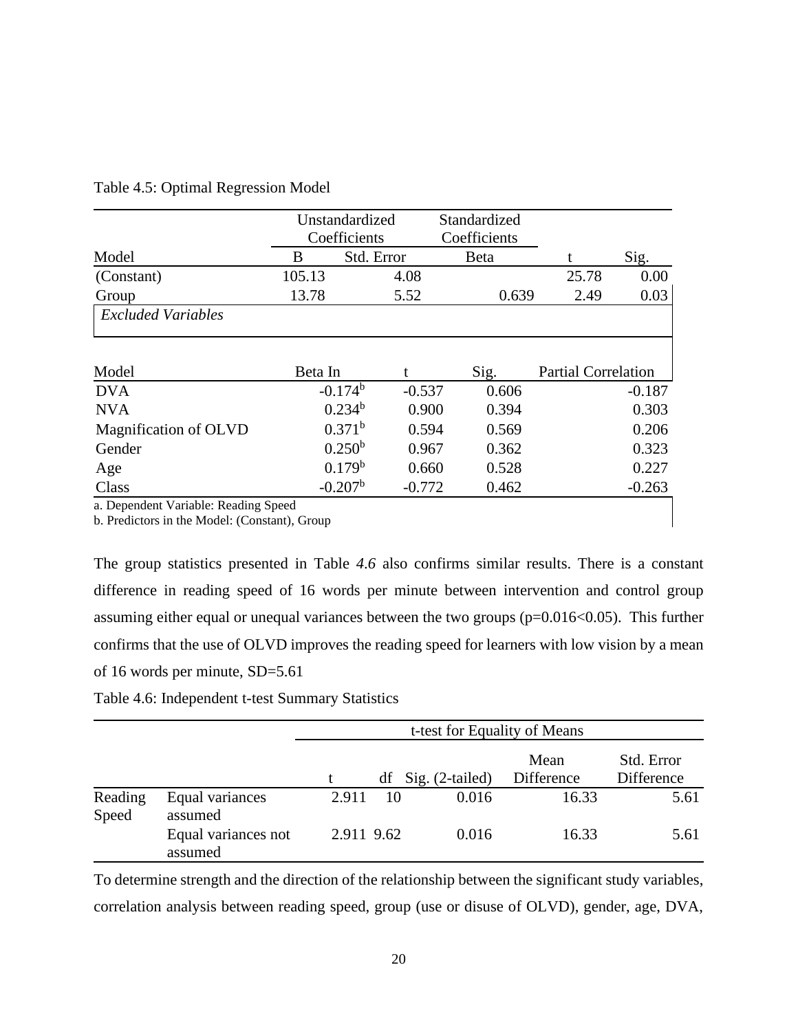|                                      |              | Unstandardized | Standardized |                            |          |
|--------------------------------------|--------------|----------------|--------------|----------------------------|----------|
|                                      |              | Coefficients   | Coefficients |                            |          |
| Model                                | B            | Std. Error     | <b>B</b> eta |                            | Sig.     |
| (Constant)                           | 105.13       | 4.08           |              | 25.78                      | 0.00     |
| Group                                | 13.78        | 5.52           | 0.639        | 2.49                       | 0.03     |
| <b>Excluded Variables</b>            |              |                |              |                            |          |
| Model                                | Beta In      |                | Sig.         | <b>Partial Correlation</b> |          |
| <b>DVA</b>                           | $-0.174^{b}$ | $-0.537$       | 0.606        |                            | $-0.187$ |
| <b>NVA</b>                           | $0.234^{b}$  | 0.900          | 0.394        |                            | 0.303    |
| Magnification of OLVD                | $0.371^{b}$  | 0.594          | 0.569        |                            | 0.206    |
| Gender                               | $0.250^{b}$  | 0.967          | 0.362        |                            | 0.323    |
| Age                                  | $0.179^{b}$  | 0.660          | 0.528        |                            | 0.227    |
| Class                                | $-0.207b$    | $-0.772$       | 0.462        |                            | $-0.263$ |
| a. Dependent Variable: Reading Speed |              |                |              |                            |          |

#### <span id="page-28-0"></span>Table 4.5: Optimal Regression Model

b. Predictors in the Model: (Constant), Group

The group statistics presented in [Table](#page-28-1) *4*.*6* also confirms similar results. There is a constant difference in reading speed of 16 words per minute between intervention and control group assuming either equal or unequal variances between the two groups (p=0.016<0.05). This further confirms that the use of OLVD improves the reading speed for learners with low vision by a mean of 16 words per minute, SD=5.61

<span id="page-28-1"></span>Table 4.6: Independent t-test Summary Statistics

|                  |                                | t-test for Equality of Means |    |                      |                    |                          |  |  |
|------------------|--------------------------------|------------------------------|----|----------------------|--------------------|--------------------------|--|--|
|                  |                                |                              |    | $df$ Sig. (2-tailed) | Mean<br>Difference | Std. Error<br>Difference |  |  |
| Reading<br>Speed | Equal variances<br>assumed     | 2.911                        | 10 | 0.016                | 16.33              | 5.61                     |  |  |
|                  | Equal variances not<br>assumed | 2.911 9.62                   |    | 0.016                | 16.33              | 5.61                     |  |  |

To determine strength and the direction of the relationship between the significant study variables, correlation analysis between reading speed, group (use or disuse of OLVD), gender, age, DVA,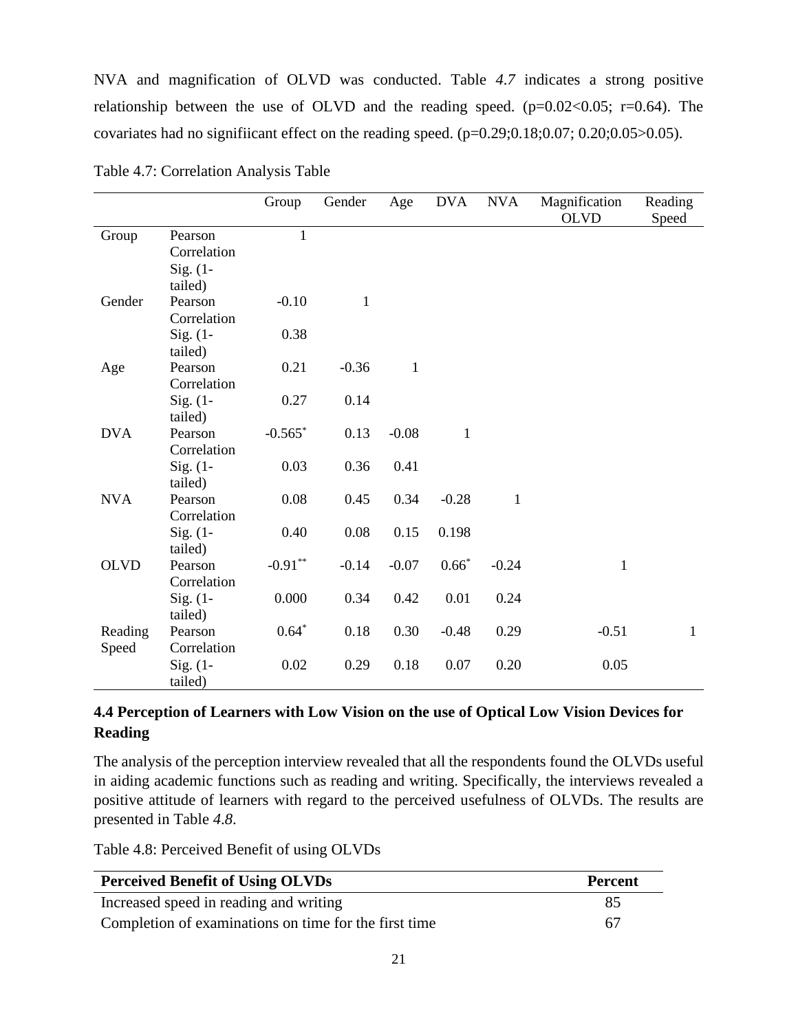NVA and magnification of OLVD was conducted. [Table](#page-29-1) *4*.*7* indicates a strong positive relationship between the use of OLVD and the reading speed.  $(p=0.02<0.05; r=0.64)$ . The covariates had no significant effect on the reading speed.  $(p=0.29;0.18;0.07;0.20;0.05>0.05)$ .

|                  |                                      | Group                       | Gender       | Age          | <b>DVA</b>   | <b>NVA</b>   | Magnification<br><b>OLVD</b> | Reading<br>Speed |
|------------------|--------------------------------------|-----------------------------|--------------|--------------|--------------|--------------|------------------------------|------------------|
| Group            | Pearson<br>Correlation<br>$Sig. (1-$ | $\mathbf{1}$                |              |              |              |              |                              |                  |
| Gender           | tailed)<br>Pearson<br>Correlation    | $-0.10$                     | $\mathbf{1}$ |              |              |              |                              |                  |
|                  | Sig. $(1 -$<br>tailed)               | 0.38                        |              |              |              |              |                              |                  |
| Age              | Pearson<br>Correlation               | 0.21                        | $-0.36$      | $\mathbf{1}$ |              |              |                              |                  |
|                  | $Sig. (1 -$<br>tailed)               | 0.27                        | 0.14         |              |              |              |                              |                  |
| <b>DVA</b>       | Pearson<br>Correlation               | $-0.565$ *                  | 0.13         | $-0.08$      | $\mathbf{1}$ |              |                              |                  |
|                  | $Sig. (1-$<br>tailed)                | 0.03                        | 0.36         | 0.41         |              |              |                              |                  |
| <b>NVA</b>       | Pearson<br>Correlation               | 0.08                        | 0.45         | 0.34         | $-0.28$      | $\mathbf{1}$ |                              |                  |
|                  | Sig. $(1 -$<br>tailed)               | 0.40                        | 0.08         | 0.15         | 0.198        |              |                              |                  |
| <b>OLVD</b>      | Pearson<br>Correlation               | $\textbf{-0.91}^{\ast\ast}$ | $-0.14$      | $-0.07$      | $0.66*$      | $-0.24$      | $\mathbf{1}$                 |                  |
|                  | Sig. $(1 -$<br>tailed)               | 0.000                       | 0.34         | 0.42         | 0.01         | 0.24         |                              |                  |
| Reading<br>Speed | Pearson<br>Correlation               | $0.64*$                     | 0.18         | 0.30         | $-0.48$      | 0.29         | $-0.51$                      | $\mathbf{1}$     |
|                  | $Sig. (1-$<br>tailed)                | 0.02                        | 0.29         | 0.18         | 0.07         | 0.20         | 0.05                         |                  |

<span id="page-29-1"></span>Table 4.7: Correlation Analysis Table

# <span id="page-29-0"></span>**4.4 Perception of Learners with Low Vision on the use of Optical Low Vision Devices for Reading**

The analysis of the perception interview revealed that all the respondents found the OLVDs useful in aiding academic functions such as reading and writing. Specifically, the interviews revealed a positive attitude of learners with regard to the perceived usefulness of OLVDs. The results are presented in [Table](#page-29-2) *4*.*8*.

<span id="page-29-2"></span>Table 4.8: Perceived Benefit of using OLVDs

| <b>Perceived Benefit of Using OLVDs</b>               | <b>Percent</b> |
|-------------------------------------------------------|----------------|
| Increased speed in reading and writing                | 85             |
| Completion of examinations on time for the first time | 67             |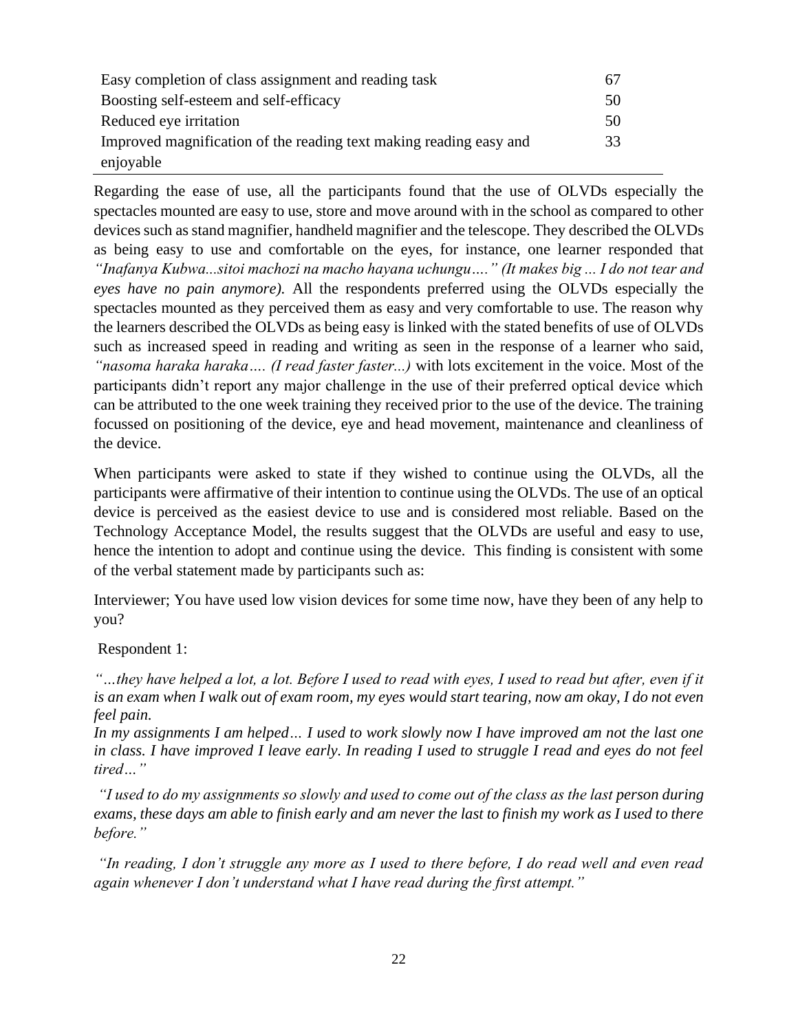| Easy completion of class assignment and reading task               | 67 |
|--------------------------------------------------------------------|----|
| Boosting self-esteem and self-efficacy                             | 50 |
| Reduced eye irritation                                             | 50 |
| Improved magnification of the reading text making reading easy and | 33 |
| enjoyable                                                          |    |

Regarding the ease of use, all the participants found that the use of OLVDs especially the spectacles mounted are easy to use, store and move around with in the school as compared to other devices such as stand magnifier, handheld magnifier and the telescope. They described the OLVDs as being easy to use and comfortable on the eyes, for instance, one learner responded that *"Inafanya Kubwa...sitoi machozi na macho hayana uchungu…." (It makes big ... I do not tear and eyes have no pain anymore).* All the respondents preferred using the OLVDs especially the spectacles mounted as they perceived them as easy and very comfortable to use. The reason why the learners described the OLVDs as being easy is linked with the stated benefits of use of OLVDs such as increased speed in reading and writing as seen in the response of a learner who said, *"nasoma haraka haraka…. (I read faster faster...)* with lots excitement in the voice. Most of the participants didn't report any major challenge in the use of their preferred optical device which can be attributed to the one week training they received prior to the use of the device. The training focussed on positioning of the device, eye and head movement, maintenance and cleanliness of the device.

When participants were asked to state if they wished to continue using the OLVDs, all the participants were affirmative of their intention to continue using the OLVDs. The use of an optical device is perceived as the easiest device to use and is considered most reliable. Based on the Technology Acceptance Model, the results suggest that the OLVDs are useful and easy to use, hence the intention to adopt and continue using the device. This finding is consistent with some of the verbal statement made by participants such as:

Interviewer; You have used low vision devices for some time now, have they been of any help to you?

Respondent 1:

*"…they have helped a lot, a lot. Before I used to read with eyes, I used to read but after, even if it is an exam when I walk out of exam room, my eyes would start tearing, now am okay, I do not even feel pain.*

*In my assignments I am helped… I used to work slowly now I have improved am not the last one*  in class. I have improved I leave early. In reading I used to struggle I read and eyes do not feel *tired…"*

*"I used to do my assignments so slowly and used to come out of the class as the last person during exams, these days am able to finish early and am never the last to finish my work as I used to there before."*

*"In reading, I don't struggle any more as I used to there before, I do read well and even read again whenever I don't understand what I have read during the first attempt."*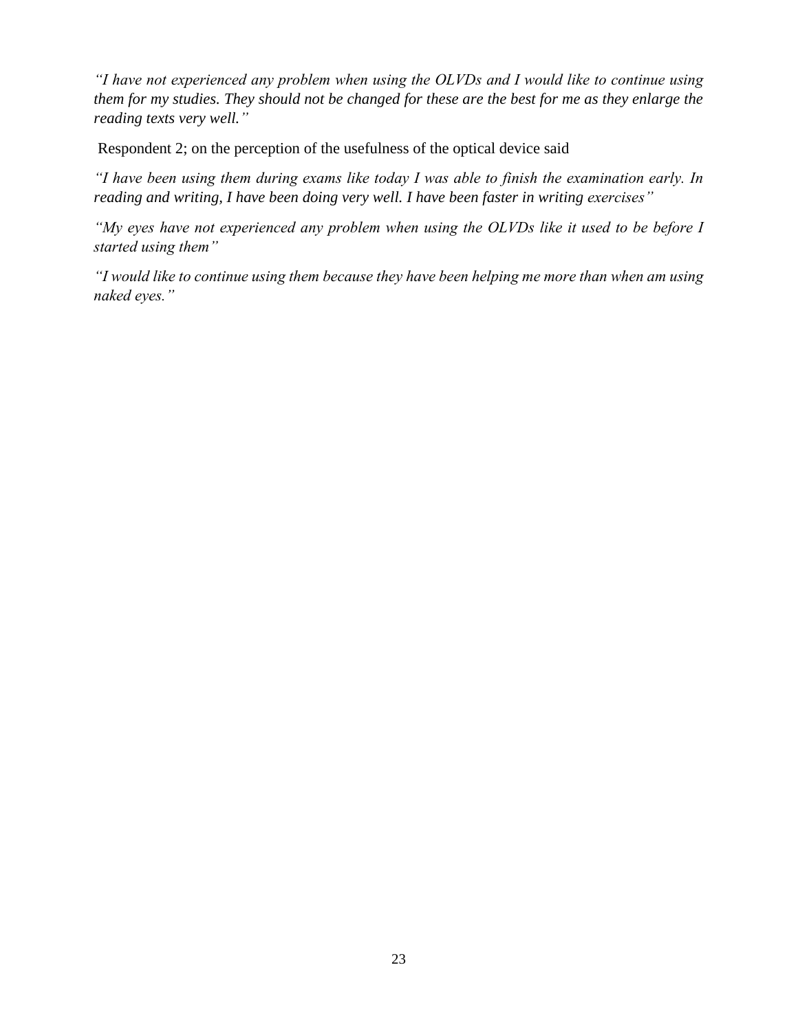*"I have not experienced any problem when using the OLVDs and I would like to continue using them for my studies. They should not be changed for these are the best for me as they enlarge the reading texts very well."*

Respondent 2; on the perception of the usefulness of the optical device said

*"I have been using them during exams like today I was able to finish the examination early. In reading and writing, I have been doing very well. I have been faster in writing exercises"*

*"My eyes have not experienced any problem when using the OLVDs like it used to be before I started using them"*

*"I would like to continue using them because they have been helping me more than when am using naked eyes."*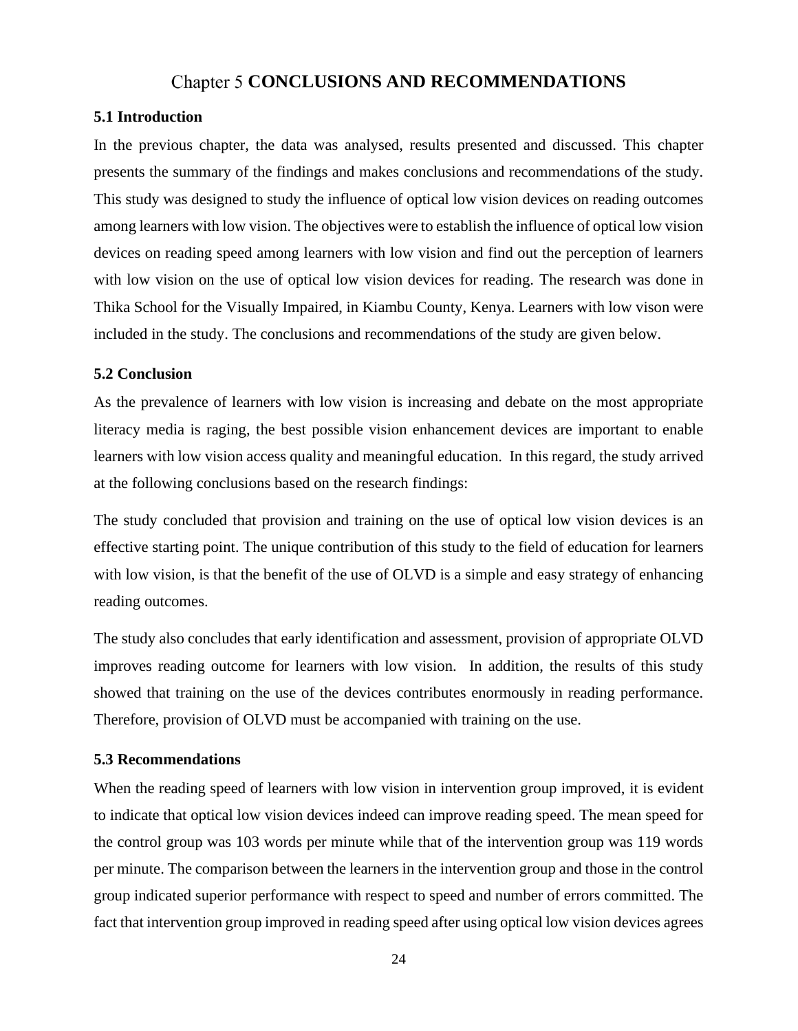# Chapter 5 CONCLUSIONS AND RECOMMENDATIONS

#### <span id="page-32-1"></span><span id="page-32-0"></span>**5.1 Introduction**

In the previous chapter, the data was analysed, results presented and discussed. This chapter presents the summary of the findings and makes conclusions and recommendations of the study. This study was designed to study the influence of optical low vision devices on reading outcomes among learners with low vision. The objectives were to establish the influence of optical low vision devices on reading speed among learners with low vision and find out the perception of learners with low vision on the use of optical low vision devices for reading. The research was done in Thika School for the Visually Impaired, in Kiambu County, Kenya. Learners with low vison were included in the study. The conclusions and recommendations of the study are given below.

#### <span id="page-32-2"></span>**5.2 Conclusion**

As the prevalence of learners with low vision is increasing and debate on the most appropriate literacy media is raging, the best possible vision enhancement devices are important to enable learners with low vision access quality and meaningful education. In this regard, the study arrived at the following conclusions based on the research findings:

The study concluded that provision and training on the use of optical low vision devices is an effective starting point. The unique contribution of this study to the field of education for learners with low vision, is that the benefit of the use of OLVD is a simple and easy strategy of enhancing reading outcomes.

The study also concludes that early identification and assessment, provision of appropriate OLVD improves reading outcome for learners with low vision. In addition, the results of this study showed that training on the use of the devices contributes enormously in reading performance. Therefore, provision of OLVD must be accompanied with training on the use.

#### <span id="page-32-3"></span>**5.3 Recommendations**

When the reading speed of learners with low vision in intervention group improved, it is evident to indicate that optical low vision devices indeed can improve reading speed. The mean speed for the control group was 103 words per minute while that of the intervention group was 119 words per minute. The comparison between the learners in the intervention group and those in the control group indicated superior performance with respect to speed and number of errors committed. The fact that intervention group improved in reading speed after using optical low vision devices agrees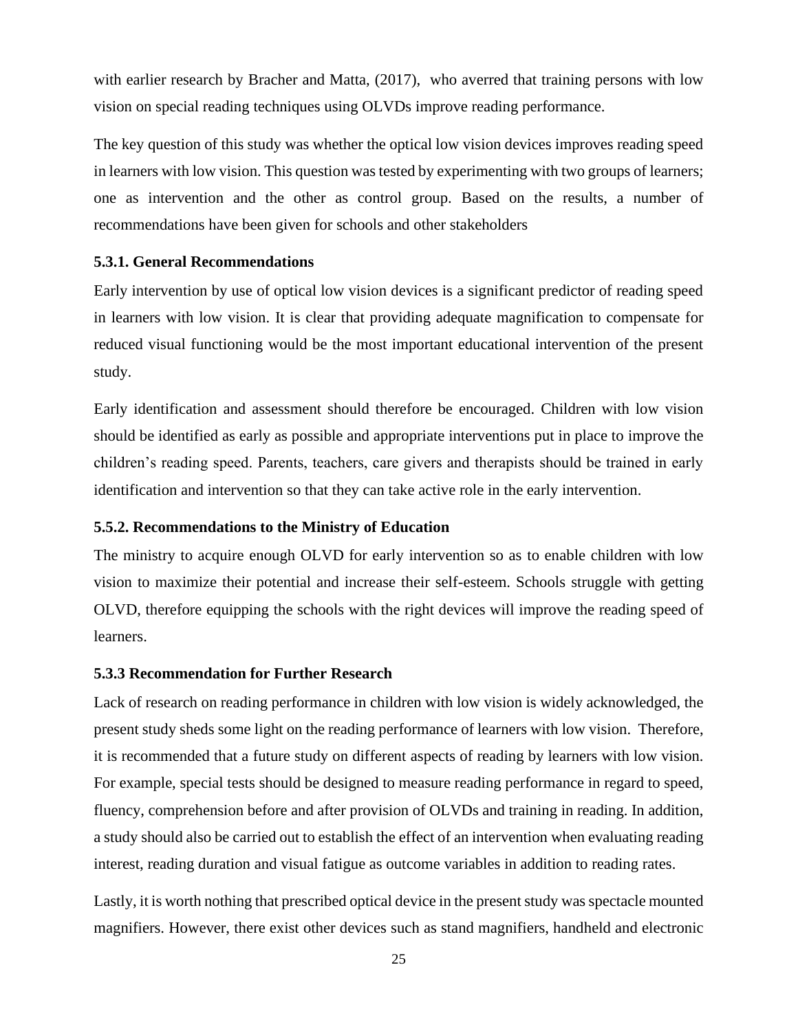with earlier research by Bracher and Matta,  $(2017)$ , who averred that training persons with low vision on special reading techniques using OLVDs improve reading performance.

The key question of this study was whether the optical low vision devices improves reading speed in learners with low vision. This question was tested by experimenting with two groups of learners; one as intervention and the other as control group. Based on the results, a number of recommendations have been given for schools and other stakeholders

#### <span id="page-33-0"></span>**5.3.1. General Recommendations**

Early intervention by use of optical low vision devices is a significant predictor of reading speed in learners with low vision. It is clear that providing adequate magnification to compensate for reduced visual functioning would be the most important educational intervention of the present study.

Early identification and assessment should therefore be encouraged. Children with low vision should be identified as early as possible and appropriate interventions put in place to improve the children's reading speed. Parents, teachers, care givers and therapists should be trained in early identification and intervention so that they can take active role in the early intervention.

#### <span id="page-33-1"></span>**5.5.2. Recommendations to the Ministry of Education**

The ministry to acquire enough OLVD for early intervention so as to enable children with low vision to maximize their potential and increase their self-esteem. Schools struggle with getting OLVD, therefore equipping the schools with the right devices will improve the reading speed of learners.

#### <span id="page-33-2"></span>**5.3.3 Recommendation for Further Research**

Lack of research on reading performance in children with low vision is widely acknowledged, the present study sheds some light on the reading performance of learners with low vision. Therefore, it is recommended that a future study on different aspects of reading by learners with low vision. For example, special tests should be designed to measure reading performance in regard to speed, fluency, comprehension before and after provision of OLVDs and training in reading. In addition, a study should also be carried out to establish the effect of an intervention when evaluating reading interest, reading duration and visual fatigue as outcome variables in addition to reading rates.

Lastly, it is worth nothing that prescribed optical device in the present study was spectacle mounted magnifiers. However, there exist other devices such as stand magnifiers, handheld and electronic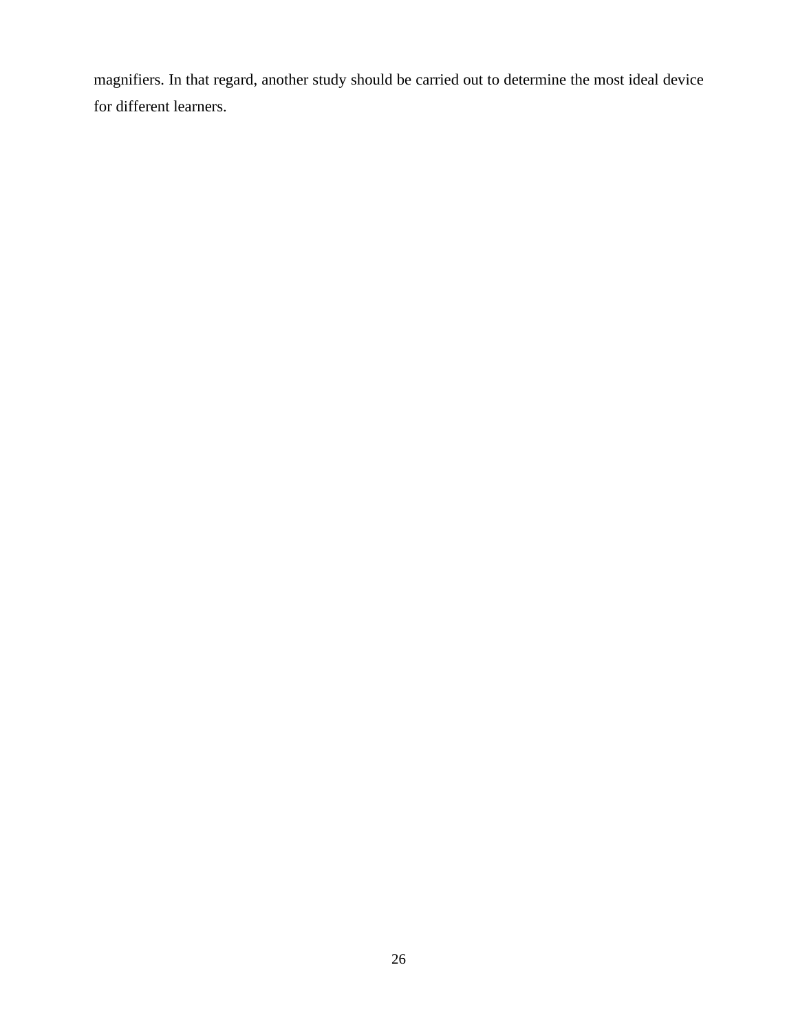magnifiers. In that regard, another study should be carried out to determine the most ideal device for different learners.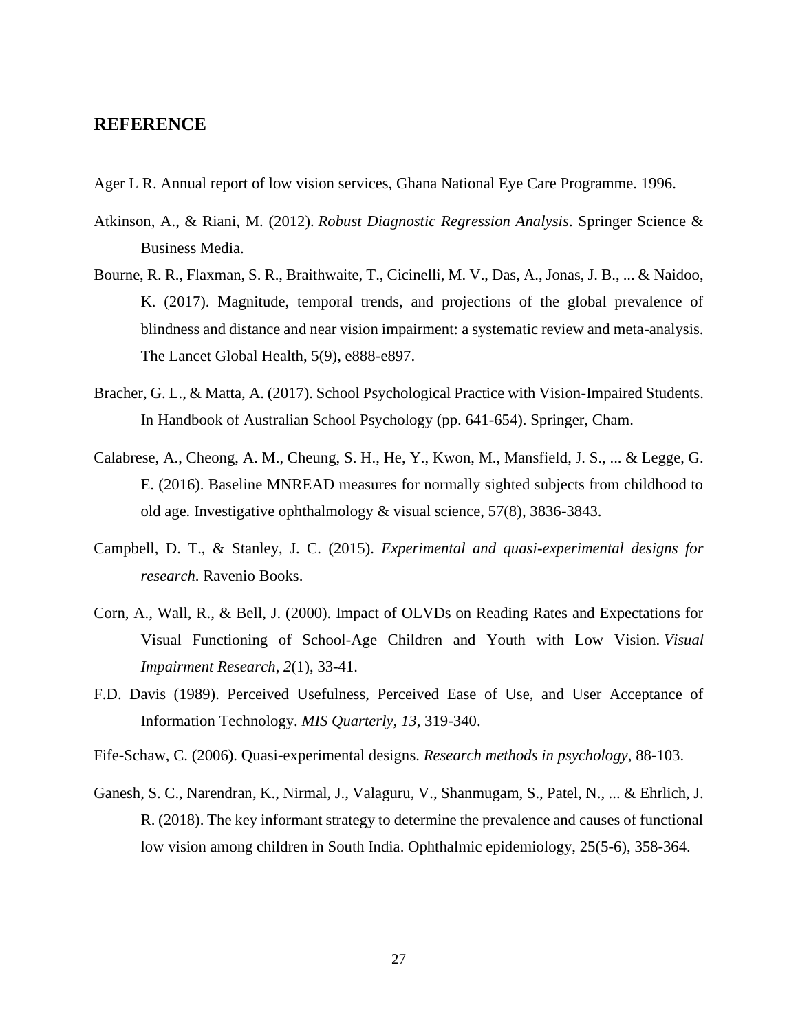# <span id="page-35-0"></span>**REFERENCE**

- Ager L R. Annual report of low vision services, Ghana National Eye Care Programme. 1996.
- Atkinson, A., & Riani, M. (2012). *Robust Diagnostic Regression Analysis*. Springer Science & Business Media.
- Bourne, R. R., Flaxman, S. R., Braithwaite, T., Cicinelli, M. V., Das, A., Jonas, J. B., ... & Naidoo, K. (2017). Magnitude, temporal trends, and projections of the global prevalence of blindness and distance and near vision impairment: a systematic review and meta-analysis. The Lancet Global Health, 5(9), e888-e897.
- Bracher, G. L., & Matta, A. (2017). School Psychological Practice with Vision-Impaired Students. In Handbook of Australian School Psychology (pp. 641-654). Springer, Cham.
- Calabrese, A., Cheong, A. M., Cheung, S. H., He, Y., Kwon, M., Mansfield, J. S., ... & Legge, G. E. (2016). Baseline MNREAD measures for normally sighted subjects from childhood to old age. Investigative ophthalmology & visual science, 57(8), 3836-3843.
- Campbell, D. T., & Stanley, J. C. (2015). *Experimental and quasi-experimental designs for research*. Ravenio Books.
- Corn, A., Wall, R., & Bell, J. (2000). Impact of OLVDs on Reading Rates and Expectations for Visual Functioning of School-Age Children and Youth with Low Vision. *Visual Impairment Research*, *2*(1), 33-41.
- F.D. Davis (1989). Perceived Usefulness, Perceived Ease of Use, and User Acceptance of Information Technology. *MIS Quarterly, 13*, 319-340.
- Fife-Schaw, C. (2006). Quasi-experimental designs. *Research methods in psychology*, 88-103.
- Ganesh, S. C., Narendran, K., Nirmal, J., Valaguru, V., Shanmugam, S., Patel, N., ... & Ehrlich, J. R. (2018). The key informant strategy to determine the prevalence and causes of functional low vision among children in South India. Ophthalmic epidemiology, 25(5-6), 358-364.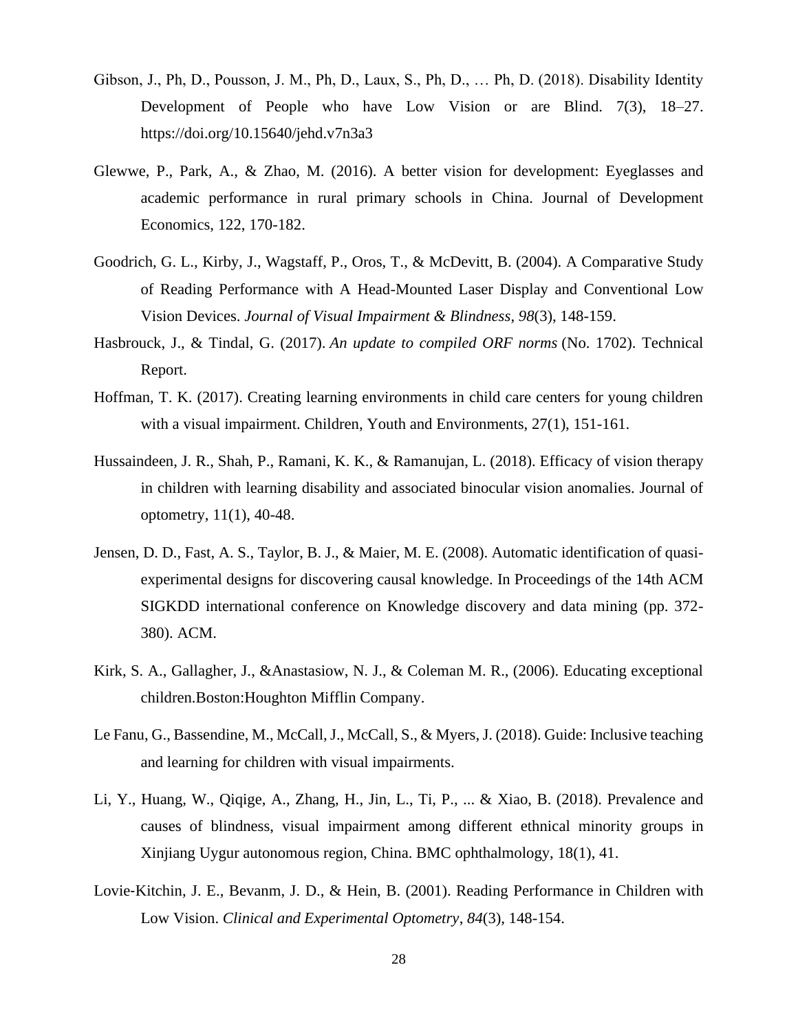- Gibson, J., Ph, D., Pousson, J. M., Ph, D., Laux, S., Ph, D., … Ph, D. (2018). Disability Identity Development of People who have Low Vision or are Blind. 7(3), 18–27. https://doi.org/10.15640/jehd.v7n3a3
- Glewwe, P., Park, A., & Zhao, M. (2016). A better vision for development: Eyeglasses and academic performance in rural primary schools in China. Journal of Development Economics, 122, 170-182.
- Goodrich, G. L., Kirby, J., Wagstaff, P., Oros, T., & McDevitt, B. (2004). A Comparative Study of Reading Performance with A Head-Mounted Laser Display and Conventional Low Vision Devices. *Journal of Visual Impairment & Blindness*, *98*(3), 148-159.
- Hasbrouck, J., & Tindal, G. (2017). *An update to compiled ORF norms* (No. 1702). Technical Report.
- Hoffman, T. K. (2017). Creating learning environments in child care centers for young children with a visual impairment. Children, Youth and Environments, 27(1), 151-161.
- Hussaindeen, J. R., Shah, P., Ramani, K. K., & Ramanujan, L. (2018). Efficacy of vision therapy in children with learning disability and associated binocular vision anomalies. Journal of optometry, 11(1), 40-48.
- Jensen, D. D., Fast, A. S., Taylor, B. J., & Maier, M. E. (2008). Automatic identification of quasiexperimental designs for discovering causal knowledge. In Proceedings of the 14th ACM SIGKDD international conference on Knowledge discovery and data mining (pp. 372- 380). ACM.
- Kirk, S. A., Gallagher, J., &Anastasiow, N. J., & Coleman M. R., (2006). Educating exceptional children.Boston:Houghton Mifflin Company.
- Le Fanu, G., Bassendine, M., McCall, J., McCall, S., & Myers, J. (2018). Guide: Inclusive teaching and learning for children with visual impairments.
- Li, Y., Huang, W., Qiqige, A., Zhang, H., Jin, L., Ti, P., ... & Xiao, B. (2018). Prevalence and causes of blindness, visual impairment among different ethnical minority groups in Xinjiang Uygur autonomous region, China. BMC ophthalmology, 18(1), 41.
- Lovie‐Kitchin, J. E., Bevanm, J. D., & Hein, B. (2001). Reading Performance in Children with Low Vision. *Clinical and Experimental Optometry*, *84*(3), 148-154.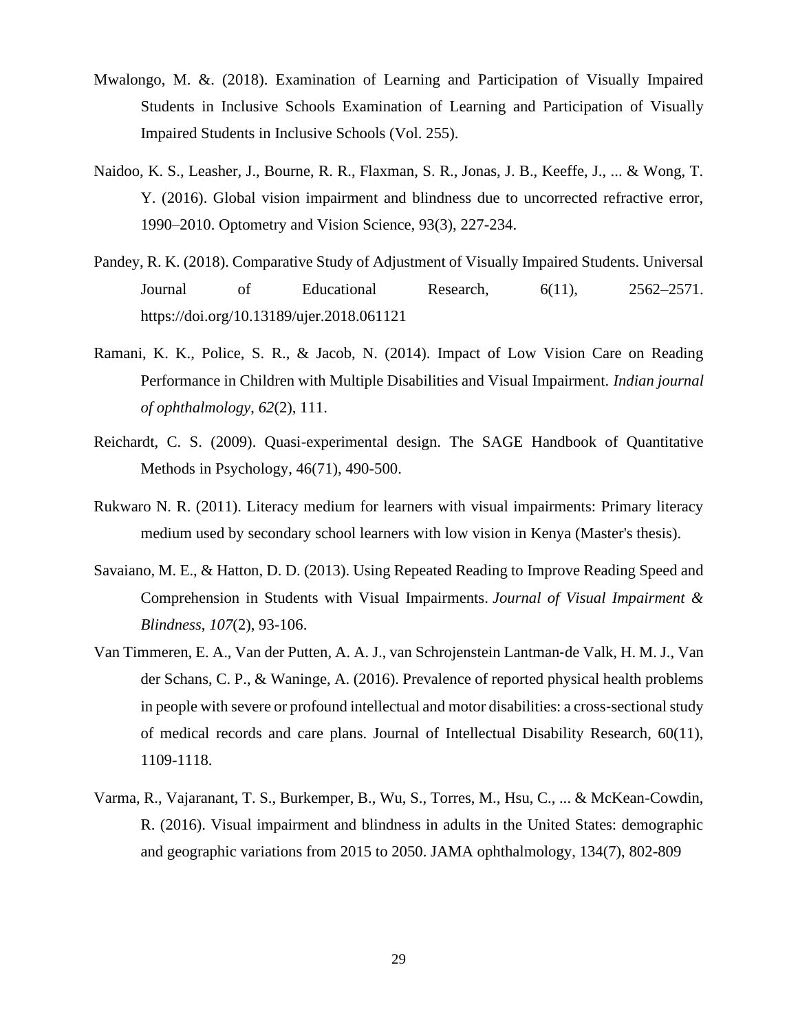- Mwalongo, M. &. (2018). Examination of Learning and Participation of Visually Impaired Students in Inclusive Schools Examination of Learning and Participation of Visually Impaired Students in Inclusive Schools (Vol. 255).
- Naidoo, K. S., Leasher, J., Bourne, R. R., Flaxman, S. R., Jonas, J. B., Keeffe, J., ... & Wong, T. Y. (2016). Global vision impairment and blindness due to uncorrected refractive error, 1990–2010. Optometry and Vision Science, 93(3), 227-234.
- Pandey, R. K. (2018). Comparative Study of Adjustment of Visually Impaired Students. Universal Journal of Educational Research, 6(11), 2562–2571. https://doi.org/10.13189/ujer.2018.061121
- Ramani, K. K., Police, S. R., & Jacob, N. (2014). Impact of Low Vision Care on Reading Performance in Children with Multiple Disabilities and Visual Impairment. *Indian journal of ophthalmology*, *62*(2), 111.
- Reichardt, C. S. (2009). Quasi-experimental design. The SAGE Handbook of Quantitative Methods in Psychology, 46(71), 490-500.
- Rukwaro N. R. (2011). Literacy medium for learners with visual impairments: Primary literacy medium used by secondary school learners with low vision in Kenya (Master's thesis).
- Savaiano, M. E., & Hatton, D. D. (2013). Using Repeated Reading to Improve Reading Speed and Comprehension in Students with Visual Impairments. *Journal of Visual Impairment & Blindness*, *107*(2), 93-106.
- Van Timmeren, E. A., Van der Putten, A. A. J., van Schrojenstein Lantman‐de Valk, H. M. J., Van der Schans, C. P., & Waninge, A. (2016). Prevalence of reported physical health problems in people with severe or profound intellectual and motor disabilities: a cross‐sectional study of medical records and care plans. Journal of Intellectual Disability Research, 60(11), 1109-1118.
- Varma, R., Vajaranant, T. S., Burkemper, B., Wu, S., Torres, M., Hsu, C., ... & McKean-Cowdin, R. (2016). Visual impairment and blindness in adults in the United States: demographic and geographic variations from 2015 to 2050. JAMA ophthalmology, 134(7), 802-809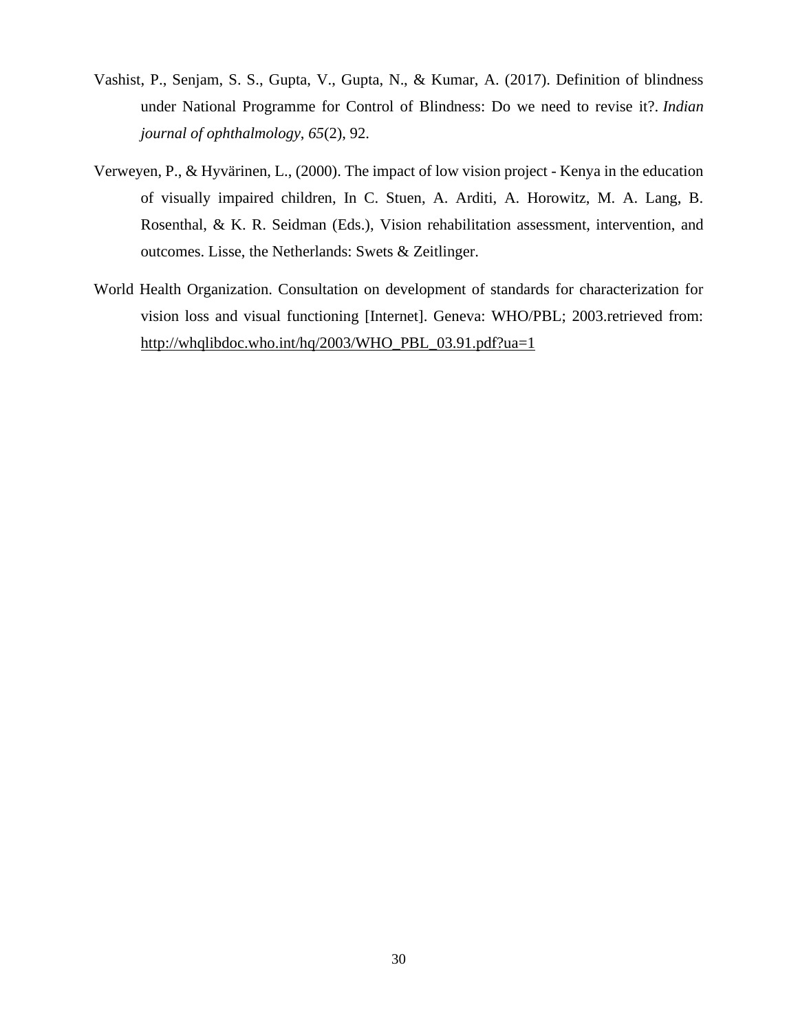- Vashist, P., Senjam, S. S., Gupta, V., Gupta, N., & Kumar, A. (2017). Definition of blindness under National Programme for Control of Blindness: Do we need to revise it?. *Indian journal of ophthalmology*, *65*(2), 92.
- Verweyen, P., & Hyvärinen, L., (2000). The impact of low vision project Kenya in the education of visually impaired children, In C. Stuen, A. Arditi, A. Horowitz, M. A. Lang, B. Rosenthal, & K. R. Seidman (Eds.), Vision rehabilitation assessment, intervention, and outcomes. Lisse, the Netherlands: Swets & Zeitlinger.
- World Health Organization. Consultation on development of standards for characterization for vision loss and visual functioning [Internet]. Geneva: WHO/PBL; 2003.retrieved from: [http://whqlibdoc.who.int/hq/2003/WHO\\_PBL\\_03.91.pdf?ua=1](http://whqlibdoc.who.int/hq/2003/WHO_PBL_03.91.pdf?ua=1)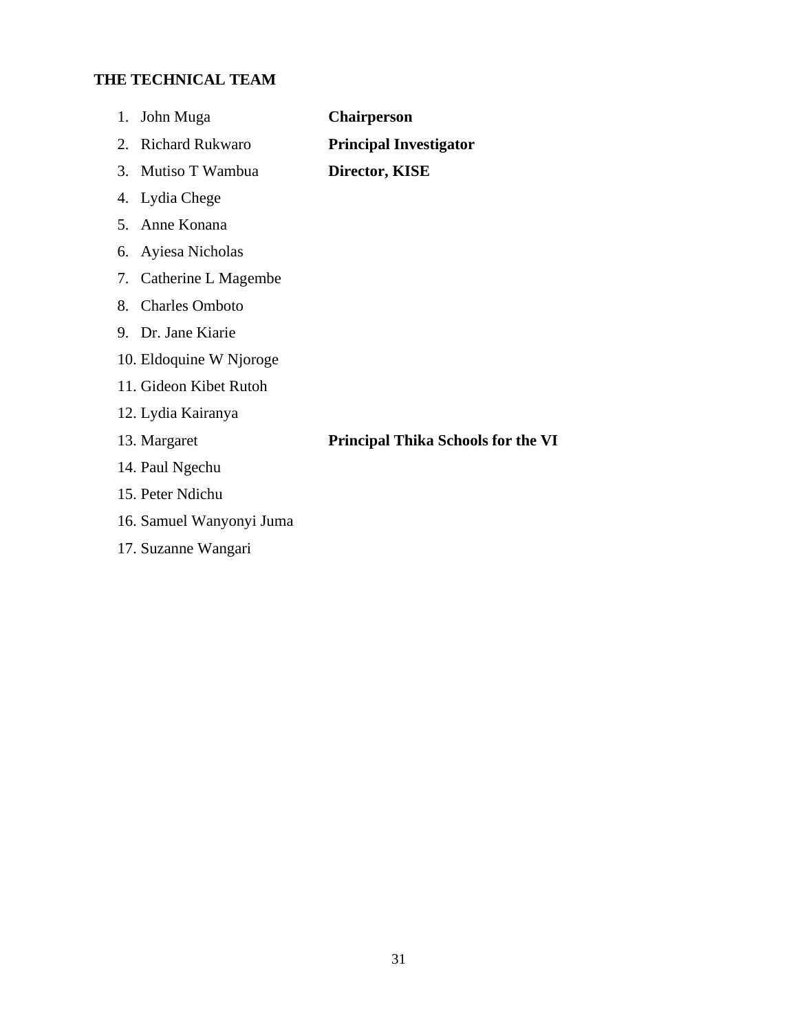# **THE TECHNICAL TEAM**

| 1.<br>John Muga              | <b>Chairperson</b>                        |
|------------------------------|-------------------------------------------|
| <b>Richard Rukwaro</b><br>2. | <b>Principal Investigator</b>             |
| Mutiso T Wambua<br>3.        | <b>Director, KISE</b>                     |
| 4. Lydia Chege               |                                           |
| Anne Konana<br>5.            |                                           |
| Ayiesa Nicholas<br>6.        |                                           |
| 7. Catherine L Magembe       |                                           |
| <b>Charles Omboto</b><br>8.  |                                           |
| 9. Dr. Jane Kiarie           |                                           |
| 10. Eldoquine W Njoroge      |                                           |
| 11. Gideon Kibet Rutoh       |                                           |
| 12. Lydia Kairanya           |                                           |
| 13. Margaret                 | <b>Principal Thika Schools for the VI</b> |
| 14. Paul Ngechu              |                                           |
| 15. Peter Ndichu             |                                           |
| 16. Samuel Wanyonyi Juma     |                                           |
| 17. Suzanne Wangari          |                                           |